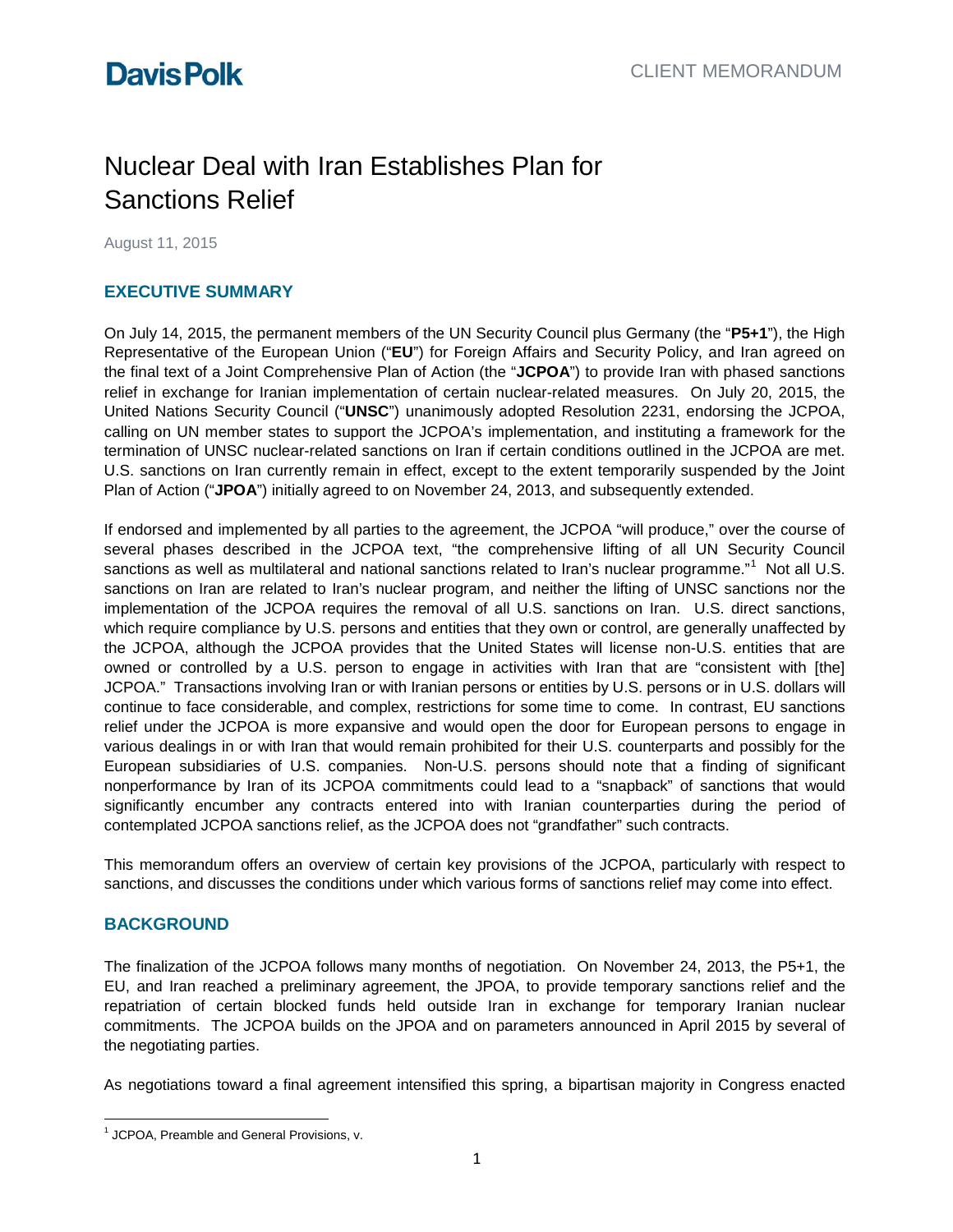# Nuclear Deal with Iran Establishes Plan for Sanctions Relief

August 11, 2015

### **EXECUTIVE SUMMARY**

On July 14, 2015, the permanent members of the UN Security Council plus Germany (the "**P5+1**"), the High Representative of the European Union ("**EU**") for Foreign Affairs and Security Policy, and Iran agreed on the final text of a Joint Comprehensive Plan of Action (the "**JCPOA**") to provide Iran with phased sanctions relief in exchange for Iranian implementation of certain nuclear-related measures. On July 20, 2015, the United Nations Security Council ("**UNSC**") unanimously adopted Resolution 2231, endorsing the JCPOA, calling on UN member states to support the JCPOA's implementation, and instituting a framework for the termination of UNSC nuclear-related sanctions on Iran if certain conditions outlined in the JCPOA are met. U.S. sanctions on Iran currently remain in effect, except to the extent temporarily suspended by the Joint Plan of Action ("**JPOA**") initially agreed to on November 24, 2013, and subsequently extended.

If endorsed and implemented by all parties to the agreement, the JCPOA "will produce," over the course of several phases described in the JCPOA text, "the comprehensive lifting of all UN Security Council sanctions as well as multilateral and national sanctions related to Iran's nuclear programme."<sup>[1](#page-0-0)</sup> Not all U.S. sanctions on Iran are related to Iran's nuclear program, and neither the lifting of UNSC sanctions nor the implementation of the JCPOA requires the removal of all U.S. sanctions on Iran. U.S. direct sanctions, which require compliance by U.S. persons and entities that they own or control, are generally unaffected by the JCPOA, although the JCPOA provides that the United States will license non-U.S. entities that are owned or controlled by a U.S. person to engage in activities with Iran that are "consistent with [the] JCPOA." Transactions involving Iran or with Iranian persons or entities by U.S. persons or in U.S. dollars will continue to face considerable, and complex, restrictions for some time to come. In contrast, EU sanctions relief under the JCPOA is more expansive and would open the door for European persons to engage in various dealings in or with Iran that would remain prohibited for their U.S. counterparts and possibly for the European subsidiaries of U.S. companies. Non-U.S. persons should note that a finding of significant nonperformance by Iran of its JCPOA commitments could lead to a "snapback" of sanctions that would significantly encumber any contracts entered into with Iranian counterparties during the period of contemplated JCPOA sanctions relief, as the JCPOA does not "grandfather" such contracts.

This memorandum offers an overview of certain key provisions of the JCPOA, particularly with respect to sanctions, and discusses the conditions under which various forms of sanctions relief may come into effect.

### **BACKGROUND**

The finalization of the JCPOA follows many months of negotiation. On November 24, 2013, the P5+1, the EU, and Iran reached a preliminary agreement, the JPOA, to provide temporary sanctions relief and the repatriation of certain blocked funds held outside Iran in exchange for temporary Iranian nuclear commitments. The JCPOA builds on the JPOA and on parameters announced in April 2015 by several of the negotiating parties.

As negotiations toward a final agreement intensified this spring, a bipartisan majority in Congress enacted

<span id="page-0-0"></span> $\overline{a}$  $<sup>1</sup>$  JCPOA, Preamble and General Provisions, v.</sup>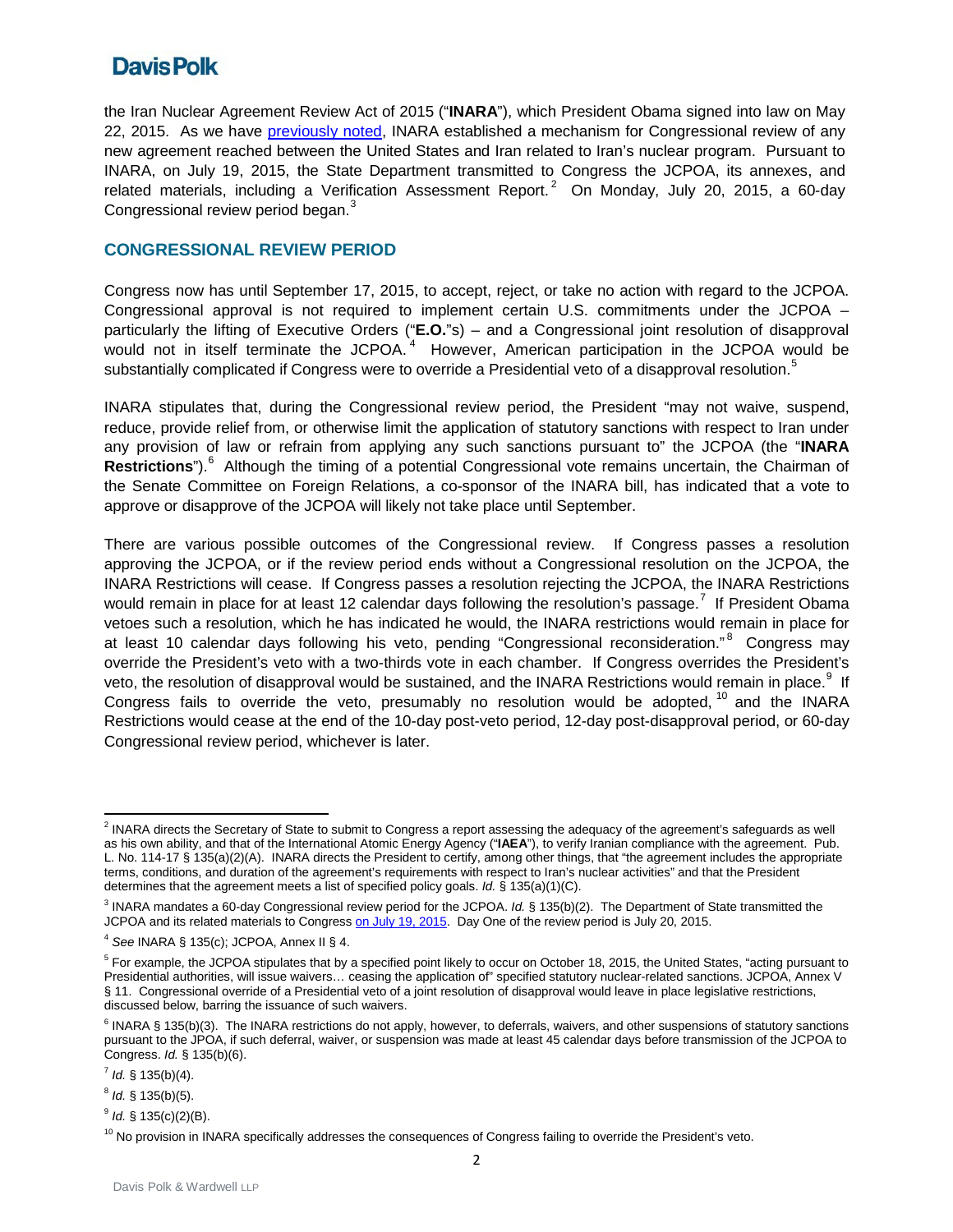the Iran Nuclear Agreement Review Act of 2015 ("**INARA**"), which President Obama signed into law on May 22, 2015. As we have [previously noted,](https://sites-davispolk.vuturevx.com/email_handler.aspx?sid=36324d04-18ab-4cf6-9153-ee1e1750b01e&intIaContactId=dVMTOITFLsl3xFU9aCqiqA%3d%3d&redirect=http%3a%2f%2fwww.davispolk.com%2fsites%2fdefault%2ffiles%2f2015-05-29_Iran_Nuclear_Agreement_Review_Act_Becomes_Law.pdf) INARA established a mechanism for Congressional review of any new agreement reached between the United States and Iran related to Iran's nuclear program. Pursuant to INARA, on July 19, 2015, the State Department transmitted to Congress the JCPOA, its annexes, and related materials, including a Verification Assessment Report.<sup>[2](#page-1-0)</sup> On Monday, July 20, 2015, a 60-day Congressional review period began.<sup>[3](#page-1-1)</sup>

### **CONGRESSIONAL REVIEW PERIOD**

Congress now has until September 17, 2015, to accept, reject, or take no action with regard to the JCPOA. Congressional approval is not required to implement certain U.S. commitments under the JCPOA – particularly the lifting of Executive Orders ("**E.O.**"s) – and a Congressional joint resolution of disapproval would not in itself terminate the JCPOA.<sup>[4](#page-1-2)</sup> However, American participation in the JCPOA would be substantially complicated if Congress were to override a Presidential veto of a disapproval resolution. $^{\rm 5}$  $^{\rm 5}$  $^{\rm 5}$ 

INARA stipulates that, during the Congressional review period, the President "may not waive, suspend, reduce, provide relief from, or otherwise limit the application of statutory sanctions with respect to Iran under any provision of law or refrain from applying any such sanctions pursuant to" the JCPOA (the "**INARA Restrictions**"). [6](#page-1-4) Although the timing of a potential Congressional vote remains uncertain, the Chairman of the Senate Committee on Foreign Relations, a co-sponsor of the INARA bill, has indicated that a vote to approve or disapprove of the JCPOA will likely not take place until September.

There are various possible outcomes of the Congressional review. If Congress passes a resolution approving the JCPOA, or if the review period ends without a Congressional resolution on the JCPOA, the INARA Restrictions will cease. If Congress passes a resolution rejecting the JCPOA, the INARA Restrictions would remain in place for at least 12 calendar days following the resolution's passage.<sup>[7](#page-1-5)</sup> If President Obama vetoes such a resolution, which he has indicated he would, the INARA restrictions would remain in place for at least 10 calendar days following his veto, pending "Congressional reconsideration."<sup>[8](#page-1-6)</sup> Congress may override the President's veto with a two-thirds vote in each chamber. If Congress overrides the President's veto, the resolution of disapproval would be sustained, and the INARA Restrictions would remain in place.<sup>[9](#page-1-7)</sup> If Congress fails to override the veto, presumably no resolution would be adopted, <sup>[10](#page-1-8)</sup> and the INARA Restrictions would cease at the end of the 10-day post-veto period, 12-day post-disapproval period, or 60-day Congressional review period, whichever is later.

<span id="page-1-0"></span><sup>&</sup>lt;sup>2</sup> INARA directs the Secretary of State to submit to Congress a report assessing the adequacy of the agreement's safeguards as well as his own ability, and that of the International Atomic Energy Agency ("**IAEA**"), to verify Iranian compliance with the agreement. Pub. L. No. 114-17 § 135(a)(2)(A). INARA directs the President to certify, among other things, that "the agreement includes the appropriate terms, conditions, and duration of the agreement's requirements with respect to Iran's nuclear activities" and that the President determines that the agreement meets a list of specified policy goals. *Id.* § 135(a)(1)(C).

<span id="page-1-1"></span><sup>3</sup> INARA mandates a 60-day Congressional review period for the JCPOA. *Id.* § 135(b)(2). The Department of State transmitted the JCPOA and its related materials to Congres[s on July 19, 2015.](http://www.state.gov/r/pa/prs/ps/2015/07/245051.htm) Day One of the review period is July 20, 2015.

<span id="page-1-2"></span><sup>4</sup> *See* INARA § 135(c); JCPOA, Annex II § 4.

<span id="page-1-3"></span><sup>&</sup>lt;sup>5</sup> For example, the JCPOA stipulates that by a specified point likely to occur on October 18, 2015, the United States, "acting pursuant to Presidential authorities, will issue waivers… ceasing the application of" specified statutory nuclear-related sanctions. JCPOA, Annex V § 11. Congressional override of a Presidential veto of a joint resolution of disapproval would leave in place legislative restrictions, discussed below, barring the issuance of such waivers.

<span id="page-1-4"></span> $6$  INARA § 135(b)(3). The INARA restrictions do not apply, however, to deferrals, waivers, and other suspensions of statutory sanctions pursuant to the JPOA, if such deferral, waiver, or suspension was made at least 45 calendar days before transmission of the JCPOA to Congress. *Id.* § 135(b)(6).

<span id="page-1-5"></span> $<sup>7</sup>$  *Id.* § 135(b)(4).</sup>

<span id="page-1-6"></span><sup>8</sup> *Id.* § 135(b)(5).

<span id="page-1-7"></span><sup>9</sup> *Id.* § 135(c)(2)(B).

<span id="page-1-8"></span> $10$  No provision in INARA specifically addresses the consequences of Congress failing to override the President's veto.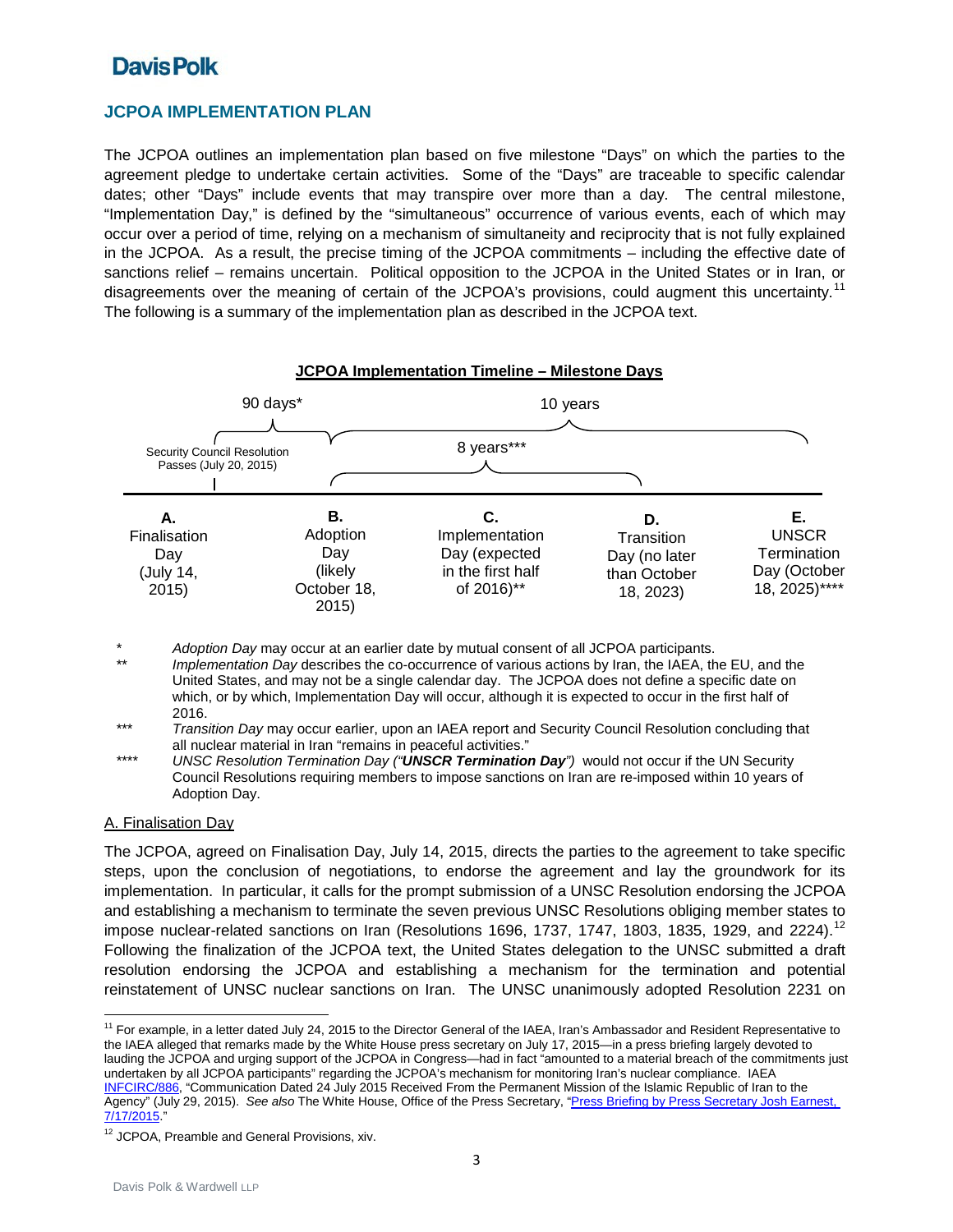### **JCPOA IMPLEMENTATION PLAN**

The JCPOA outlines an implementation plan based on five milestone "Days" on which the parties to the agreement pledge to undertake certain activities. Some of the "Days" are traceable to specific calendar dates; other "Days" include events that may transpire over more than a day. The central milestone, "Implementation Day," is defined by the "simultaneous" occurrence of various events, each of which may occur over a period of time, relying on a mechanism of simultaneity and reciprocity that is not fully explained in the JCPOA. As a result, the precise timing of the JCPOA commitments – including the effective date of sanctions relief – remains uncertain. Political opposition to the JCPOA in the United States or in Iran, or disagreements over the meaning of certain of the JCPOA's provisions, could augment this uncertainty.<sup>[11](#page-2-0)</sup> The following is a summary of the implementation plan as described in the JCPOA text.



\* *Adoption Day* may occur at an earlier date by mutual consent of all JCPOA participants.

*Implementation Day* describes the co-occurrence of various actions by Iran, the IAEA, the EU, and the United States, and may not be a single calendar day. The JCPOA does not define a specific date on which, or by which, Implementation Day will occur, although it is expected to occur in the first half of 2016.

\*\*\* *Transition Day* may occur earlier, upon an IAEA report and Security Council Resolution concluding that all nuclear material in Iran "remains in peaceful activities."

\*\*\*\* *UNSC Resolution Termination Day ("UNSCR Termination Day")* would not occur if the UN Security Council Resolutions requiring members to impose sanctions on Iran are re-imposed within 10 years of Adoption Day.

#### A. Finalisation Day

 $\overline{a}$ 

The JCPOA, agreed on Finalisation Day, July 14, 2015, directs the parties to the agreement to take specific steps, upon the conclusion of negotiations, to endorse the agreement and lay the groundwork for its implementation. In particular, it calls for the prompt submission of a UNSC Resolution endorsing the JCPOA and establishing a mechanism to terminate the seven previous UNSC Resolutions obliging member states to impose nuclear-related sanctions on Iran (Resolutions 1696, 1737, 1747, 1803, 1835, 1929, and 2224).<sup>[12](#page-2-1)</sup> Following the finalization of the JCPOA text, the United States delegation to the UNSC submitted a draft resolution endorsing the JCPOA and establishing a mechanism for the termination and potential reinstatement of UNSC nuclear sanctions on Iran. The UNSC unanimously adopted Resolution 2231 on

<span id="page-2-0"></span><sup>11</sup> For example, in a letter dated July 24, 2015 to the Director General of the IAEA, Iran's Ambassador and Resident Representative to the IAEA alleged that remarks made by the White House press secretary on July 17, 2015—in a press briefing largely devoted to lauding the JCPOA and urging support of the JCPOA in Congress—had in fact "amounted to a material breach of the commitments just undertaken by all JCPOA participants" regarding the JCPOA's mechanism for monitoring Iran's nuclear compliance. IAEA [INFCIRC/886,](https://www.iaea.org/publications/documents/infcircs/communication-dated-24-july-2015-received-permanent-mission-islamic-republic-iran-agency) "Communication Dated 24 July 2015 Received From the Permanent Mission of the Islamic Republic of Iran to the Agency" (July 29, 2015). *See also* The White House, Office of the Press Secretary, ["Press Briefing by Press Secretary Josh Earnest,](https://www.whitehouse.gov/the-press-office/2015/07/17/press-briefing-press-secretary-josh-earnest-7172015)  [7/17/2015."](https://www.whitehouse.gov/the-press-office/2015/07/17/press-briefing-press-secretary-josh-earnest-7172015)

<span id="page-2-1"></span><sup>&</sup>lt;sup>12</sup> JCPOA, Preamble and General Provisions, xiv.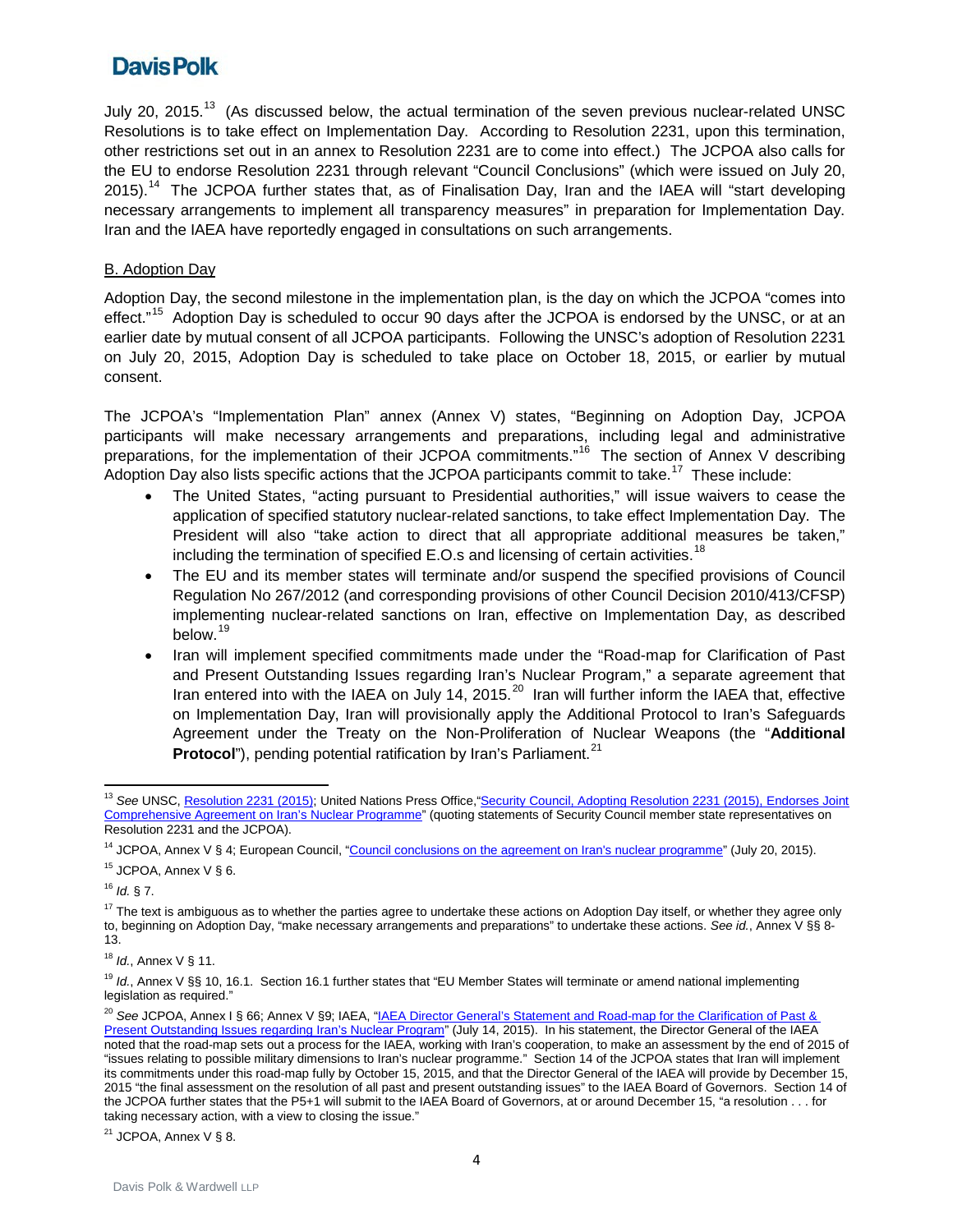July 20, 2015.<sup>[13](#page-3-0)</sup> (As discussed below, the actual termination of the seven previous nuclear-related UNSC Resolutions is to take effect on Implementation Day. According to Resolution 2231, upon this termination, other restrictions set out in an annex to Resolution 2231 are to come into effect.) The JCPOA also calls for the EU to endorse Resolution 2231 through relevant "Council Conclusions" (which were issued on July 20, 2015).<sup>14</sup> The JCPOA further states that, as of Finalisation Day, Iran and the IAEA will "start developing necessary arrangements to implement all transparency measures" in preparation for Implementation Day. Iran and the IAEA have reportedly engaged in consultations on such arrangements.

#### B. Adoption Day

Adoption Day, the second milestone in the implementation plan, is the day on which the JCPOA "comes into effect."<sup>15</sup> Adoption Day is scheduled to occur 90 days after the JCPOA is endorsed by the UNSC, or at an earlier date by mutual consent of all JCPOA participants. Following the UNSC's adoption of Resolution 2231 on July 20, 2015, Adoption Day is scheduled to take place on October 18, 2015, or earlier by mutual consent.

The JCPOA's "Implementation Plan" annex (Annex V) states, "Beginning on Adoption Day, JCPOA participants will make necessary arrangements and preparations, including legal and administrative preparations, for the implementation of their JCPOA commitments."<sup>[16](#page-3-3)</sup> The section of Annex V describing Adoption Day also lists specific actions that the JCPOA participants commit to take.<sup>17</sup> These include:

- The United States, "acting pursuant to Presidential authorities," will issue waivers to cease the application of specified statutory nuclear-related sanctions, to take effect Implementation Day. The President will also "take action to direct that all appropriate additional measures be taken," including the termination of specified E.O.s and licensing of certain activities.<sup>[18](#page-3-5)</sup>
- The EU and its member states will terminate and/or suspend the specified provisions of Council Regulation No 267/2012 (and corresponding provisions of other Council Decision 2010/413/CFSP) implementing nuclear-related sanctions on Iran, effective on Implementation Day, as described below.<sup>[19](#page-3-6)</sup>
- Iran will implement specified commitments made under the "Road-map for Clarification of Past and Present Outstanding Issues regarding Iran's Nuclear Program," a separate agreement that Iran entered into with the IAEA on July 14, [20](#page-3-7)15.<sup>20</sup> Iran will further inform the IAEA that, effective on Implementation Day, Iran will provisionally apply the Additional Protocol to Iran's Safeguards Agreement under the Treaty on the Non-Proliferation of Nuclear Weapons (the "**Additional Protocol**"), pending potential ratification by Iran's Parliament.<sup>[21](#page-3-8)</sup>

<span id="page-3-3"></span><sup>16</sup> *Id.* § 7.

<span id="page-3-4"></span><sup>17</sup> The text is ambiguous as to whether the parties agree to undertake these actions on Adoption Day itself, or whether they agree only to, beginning on Adoption Day, "make necessary arrangements and preparations" to undertake these actions. *See id.*, Annex V §§ 8- 13.

<span id="page-3-5"></span><sup>18</sup> *Id.*, Annex V § 11.

<span id="page-3-6"></span><sup>19</sup> *Id.*, Annex V §§ 10, 16.1. Section 16.1 further states that "EU Member States will terminate or amend national implementing legislation as required."

<span id="page-3-8"></span> $21$  JCPOA, Annex V § 8.

<span id="page-3-0"></span> $\overline{a}$ <sup>13</sup> See UNSC[, Resolution 2231 \(2015\);](http://www.un.org/en/sc/inc/pages/pdf/pow/RES2231E.pdf) United Nations Press Office, "Security Council, Adopting Resolution 2231 (2015), Endorses Joint [Comprehensive Agreement on Iran's Nuclear Programme"](http://www.un.org/press/en/2015/sc11974.doc.htm) (quoting statements of Security Council member state representatives on Resolution 2231 and the JCPOA).

<span id="page-3-1"></span><sup>&</sup>lt;sup>14</sup> JCPOA, Annex V § 4; European Council, ["Council conclusions on the agreement on Iran's nuclear programme"](http://www.consilium.europa.eu/en/press/press-releases/2015/07/20-fac-iran/) (July 20, 2015).

<span id="page-3-2"></span><sup>&</sup>lt;sup>15</sup> JCPOA, Annex V § 6.

<span id="page-3-7"></span><sup>&</sup>lt;sup>20</sup> See JCPOA, Annex I § 66; Annex V §9; IAEA, "*IAEA Director General's Statement and Road-map for the Clarification of Past &* [Present Outstanding Issues regarding Iran's Nuclear Program"](https://www.iaea.org/newscenter/pressreleases/iaea-director-generals-statement-and-road-map-clarification-past-present-outstanding-issues-regarding-irans-nuclear-program) (July 14, 2015). In his statement, the Director General of the IAEA noted that the road-map sets out a process for the IAEA, working with Iran's cooperation, to make an assessment by the end of 2015 of "issues relating to possible military dimensions to Iran's nuclear programme." Section 14 of the JCPOA states that Iran will implement its commitments under this road-map fully by October 15, 2015, and that the Director General of the IAEA will provide by December 15, 2015 "the final assessment on the resolution of all past and present outstanding issues" to the IAEA Board of Governors. Section 14 of the JCPOA further states that the P5+1 will submit to the IAEA Board of Governors, at or around December 15, "a resolution . . . for taking necessary action, with a view to closing the issue."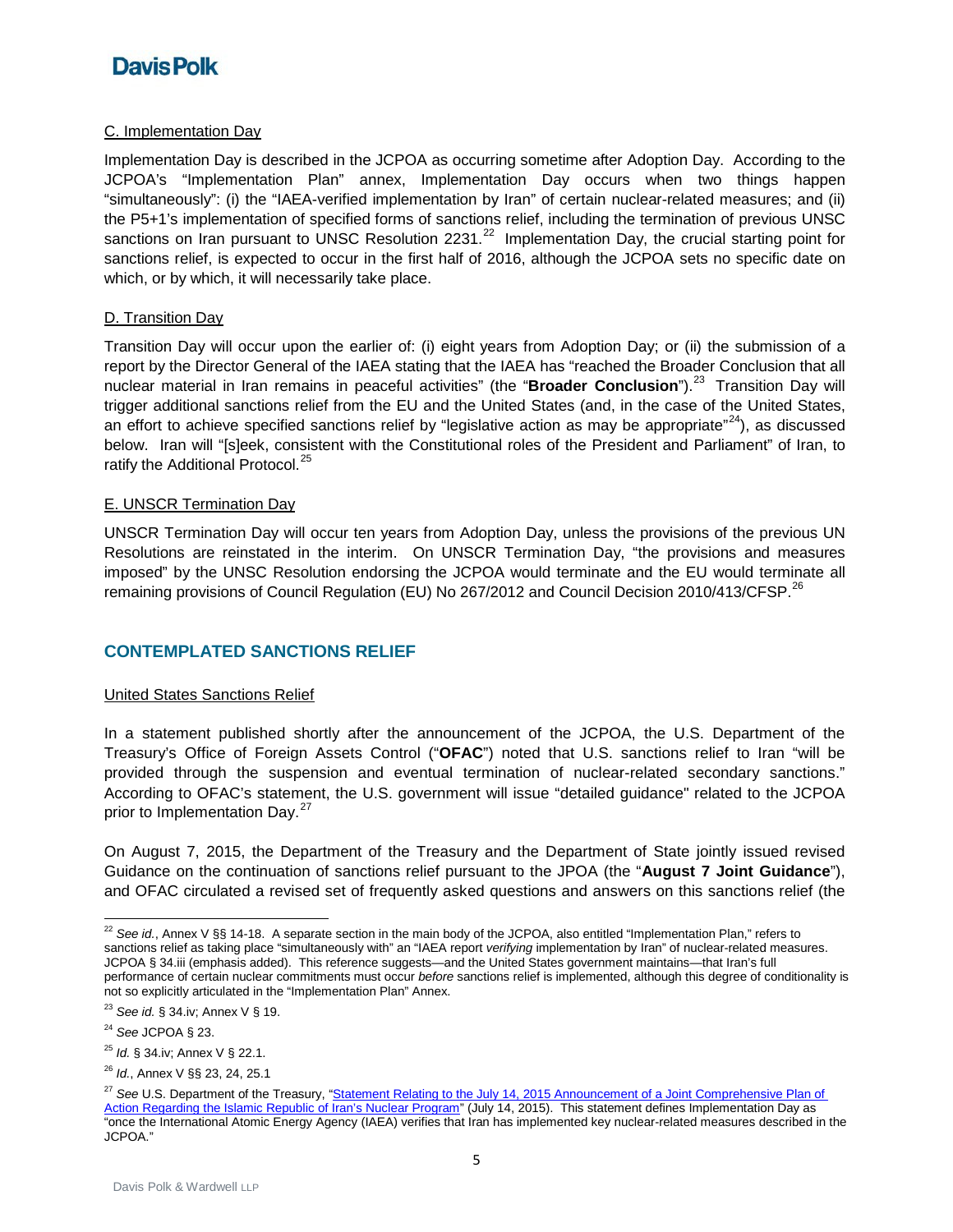#### C. Implementation Day

Implementation Day is described in the JCPOA as occurring sometime after Adoption Day. According to the JCPOA's "Implementation Plan" annex, Implementation Day occurs when two things happen "simultaneously": (i) the "IAEA-verified implementation by Iran" of certain nuclear-related measures; and (ii) the P5+1's implementation of specified forms of sanctions relief, including the termination of previous UNSC sanctions on Iran pursuant to UNSC Resolution 2231. $^{22}$  Implementation Day, the crucial starting point for sanctions relief, is expected to occur in the first half of 2016, although the JCPOA sets no specific date on which, or by which, it will necessarily take place.

#### D. Transition Day

Transition Day will occur upon the earlier of: (i) eight years from Adoption Day; or (ii) the submission of a report by the Director General of the IAEA stating that the IAEA has "reached the Broader Conclusion that all nuclear material in Iran remains in peaceful activities" (the "**Broader Conclusion**").<sup>[23](#page-4-1)</sup> Transition Day will trigger additional sanctions relief from the EU and the United States (and, in the case of the United States, an effort to achieve specified sanctions relief by "legislative action as may be appropriate" $^{24}$ ), as discussed below. Iran will "[s]eek, consistent with the Constitutional roles of the President and Parliament" of Iran, to ratify the Additional Protocol.<sup>[25](#page-4-3)</sup>

#### E. UNSCR Termination Day

UNSCR Termination Day will occur ten years from Adoption Day, unless the provisions of the previous UN Resolutions are reinstated in the interim. On UNSCR Termination Day, "the provisions and measures imposed" by the UNSC Resolution endorsing the JCPOA would terminate and the EU would terminate all remaining provisions of Council Regulation (EU) No [26](#page-4-4)7/2012 and Council Decision 2010/413/CFSP.<sup>26</sup>

### **CONTEMPLATED SANCTIONS RELIEF**

#### United States Sanctions Relief

In a statement published shortly after the announcement of the JCPOA, the U.S. Department of the Treasury's Office of Foreign Assets Control ("**OFAC**") noted that U.S. sanctions relief to Iran "will be provided through the suspension and eventual termination of nuclear-related secondary sanctions." According to OFAC's statement, the U.S. government will issue "detailed guidance" related to the JCPOA prior to Implementation Day.<sup>[27](#page-4-5)</sup>

On August 7, 2015, the Department of the Treasury and the Department of State jointly issued revised Guidance on the continuation of sanctions relief pursuant to the JPOA (the "**August 7 Joint Guidance**"), and OFAC circulated a revised set of frequently asked questions and answers on this sanctions relief (the

<span id="page-4-3"></span><sup>25</sup> *Id.* § 34.iv; Annex V § 22.1.

<span id="page-4-0"></span><sup>&</sup>lt;sup>22</sup> See id., Annex V §§ 14-18. A separate section in the main body of the JCPOA, also entitled "Implementation Plan," refers to sanctions relief as taking place "simultaneously with" an "IAEA report *verifying* implementation by Iran" of nuclear-related measures. JCPOA § 34.iii (emphasis added). This reference suggests—and the United States government maintains—that Iran's full performance of certain nuclear commitments must occur *before* sanctions relief is implemented, although this degree of conditionality is not so explicitly articulated in the "Implementation Plan" Annex.

<span id="page-4-1"></span><sup>23</sup> *See id.* § 34.iv; Annex V § 19.

<span id="page-4-2"></span><sup>24</sup> *See* JCPOA § 23.

<span id="page-4-4"></span><sup>26</sup> *Id.*, Annex V §§ 23, 24, 25.1

<span id="page-4-5"></span><sup>&</sup>lt;sup>27</sup> See U.S. Department of the Treasury, "Statement Relating to the July 14, 2015 Announcement of a Joint Comprehensive Plan of [Action Regarding the Islamic Republic of Iran's Nuclear Program"](http://www.treasury.gov/resource-center/sanctions/Programs/Pages/iran.aspx) (July 14, 2015). This statement defines Implementation Day as "once the International Atomic Energy Agency (IAEA) verifies that Iran has implemented key nuclear-related measures described in the JCPOA."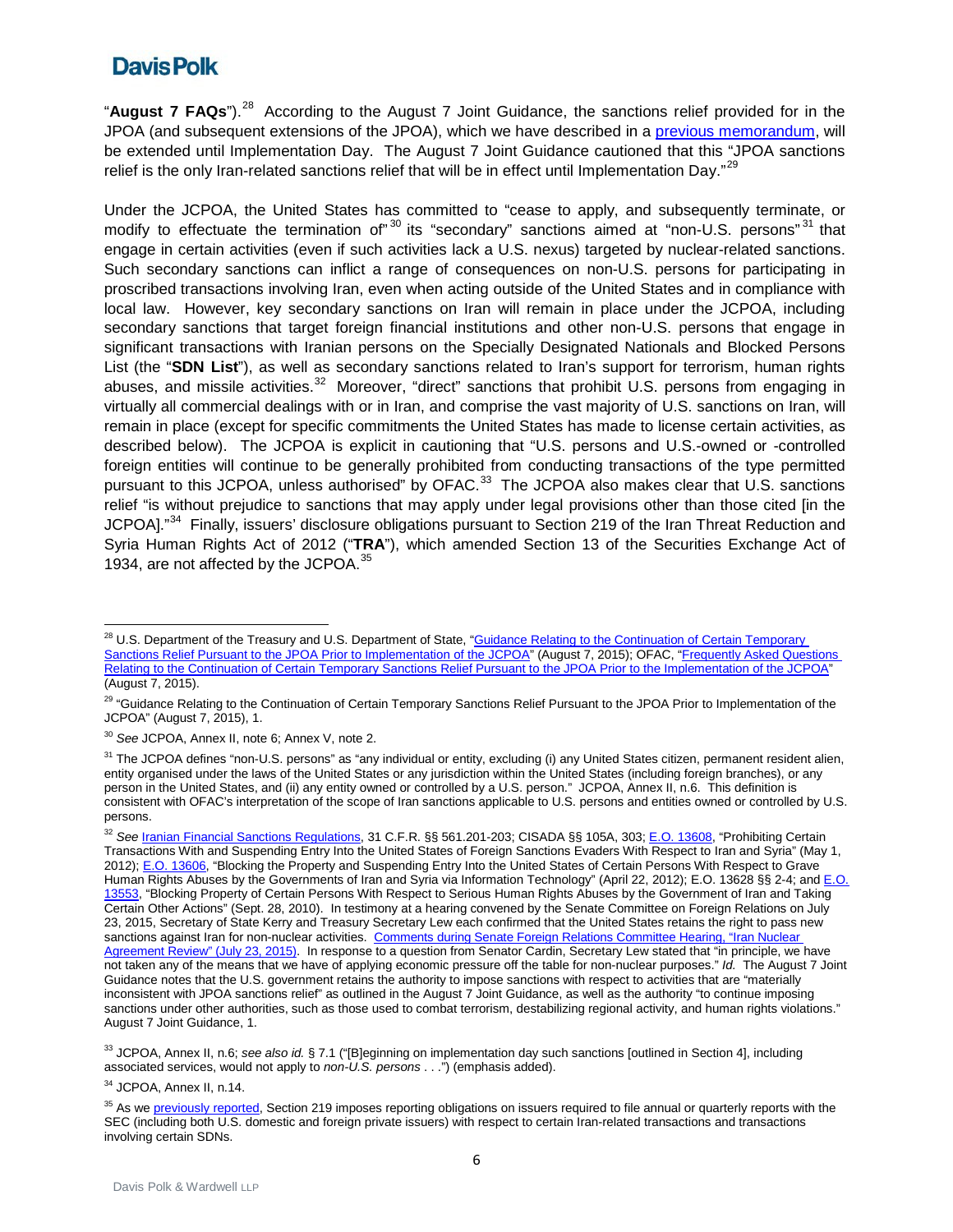"**August 7 FAQs**"). [28](#page-5-0) According to the August 7 Joint Guidance, the sanctions relief provided for in the JPOA (and subsequent extensions of the JPOA), which we have described in a [previous memorandum,](http://www.davispolk.com/sites/default/files/01.24.14.Implementation.Memo_.pdf) will be extended until Implementation Day. The August 7 Joint Guidance cautioned that this "JPOA sanctions relief is the only Iran-related sanctions relief that will be in effect until Implementation Dav."<sup>[29](#page-5-1)</sup>

Under the JCPOA, the United States has committed to "cease to apply, and subsequently terminate, or modify to effectuate the termination of"<sup>[30](#page-5-2)</sup> its "secondary" sanctions aimed at "non-U.S. persons"<sup>[31](#page-5-3)</sup> that engage in certain activities (even if such activities lack a U.S. nexus) targeted by nuclear-related sanctions. Such secondary sanctions can inflict a range of consequences on non-U.S. persons for participating in proscribed transactions involving Iran, even when acting outside of the United States and in compliance with local law. However, key secondary sanctions on Iran will remain in place under the JCPOA, including secondary sanctions that target foreign financial institutions and other non-U.S. persons that engage in significant transactions with Iranian persons on the Specially Designated Nationals and Blocked Persons List (the "**SDN List**"), as well as secondary sanctions related to Iran's support for terrorism, human rights abuses, and missile activities.<sup>[32](#page-5-4)</sup> Moreover, "direct" sanctions that prohibit U.S. persons from engaging in virtually all commercial dealings with or in Iran, and comprise the vast majority of U.S. sanctions on Iran, will remain in place (except for specific commitments the United States has made to license certain activities, as described below). The JCPOA is explicit in cautioning that "U.S. persons and U.S.-owned or -controlled foreign entities will continue to be generally prohibited from conducting transactions of the type permitted pursuant to this JCPOA, unless authorised" by OFAC.<sup>33</sup> The JCPOA also makes clear that U.S. sanctions relief "is without prejudice to sanctions that may apply under legal provisions other than those cited [in the JCPOAI."<sup>34</sup> Finally, issuers' disclosure obligations pursuant to Section 219 of the Iran Threat Reduction and Syria Human Rights Act of 2012 ("**TRA**"), which amended Section 13 of the Securities Exchange Act of 1934, are not affected by the JCPOA.<sup>[35](#page-5-7)</sup>

<span id="page-5-5"></span><sup>33</sup> JCPOA, Annex II, n.6; *see also id.* § 7.1 ("[B]eginning on implementation day such sanctions [outlined in Section 4], including associated services, would not apply to *non-U.S. persons* . . .") (emphasis added).

<span id="page-5-6"></span><sup>34</sup> JCPOA, Annex II, n.14.

<span id="page-5-7"></span><sup>35</sup> As we **previously reported**, Section 219 imposes reporting obligations on issuers required to file annual or quarterly reports with the SEC (including both U.S. domestic and foreign private issuers) with respect to certain Iran-related transactions and transactions involving certain SDNs.

<span id="page-5-0"></span> $\overline{a}$ <sup>28</sup> U.S. Department of the Treasury and U.S. Department of State, "Guidance Relating to the Continuation of Certain Temporary [Sanctions Relief Pursuant to the JPOA Prior to Implementation of the JCPOA"](http://www.treasury.gov/resource-center/sanctions/Programs/Documents/guidance_ext_20150807.pdf) (August 7, 2015); OFAC, "Frequently Asked Questions [Relating to the Continuation of Certain Temporary Sanctions Relief Pursuant to the JPOA Prior to the Implementation of the JCPOA"](http://www.treasury.gov/resource-center/sanctions/Programs/Documents/jpoa_ext_faq_20150807.pdf) (August 7, 2015).

<span id="page-5-1"></span><sup>&</sup>lt;sup>29</sup> "Guidance Relating to the Continuation of Certain Temporary Sanctions Relief Pursuant to the JPOA Prior to Implementation of the JCPOA" (August 7, 2015), 1.

<span id="page-5-2"></span><sup>30</sup> *See* JCPOA, Annex II, note 6; Annex V, note 2.

<span id="page-5-3"></span><sup>&</sup>lt;sup>31</sup> The JCPOA defines "non-U.S. persons" as "any individual or entity, excluding (i) any United States citizen, permanent resident alien, entity organised under the laws of the United States or any jurisdiction within the United States (including foreign branches), or any person in the United States, and (ii) any entity owned or controlled by a U.S. person." JCPOA, Annex II, n.6. This definition is consistent with OFAC's interpretation of the scope of Iran sanctions applicable to U.S. persons and entities owned or controlled by U.S. persons.

<span id="page-5-4"></span><sup>32</sup> *See* [Iranian Financial Sanctions Regulations,](http://www.ecfr.gov/cgi-bin/text-idx?SID=9874a1de71122f946a56d27417c6c372&tpl=/ecfrbrowse/Title31/31cfr561_main_02.tpl) 31 C.F.R. §§ 561.201-203; CISADA §§ 105A, 303[; E.O. 13608,](http://www.treasury.gov/resource-center/sanctions/Programs/Documents/fse_eo.pdf) "Prohibiting Certain Transactions With and Suspending Entry Into the United States of Foreign Sanctions Evaders With Respect to Iran and Syria" (May 1, 2012); [E.O. 13606,](http://www.treasury.gov/resource-center/sanctions/Programs/Documents/13606.pdf) "Blocking the Property and Suspending Entry Into the United States of Certain Persons With Respect to Grave Human Rights Abuses by the Governments of Iran and Syria via Information Technology" (April 22, 2012); E.O. 13628 §§ 2-4; and E.O. [13553,](http://www.treasury.gov/resource-center/sanctions/Documents/13553.pdf) "Blocking Property of Certain Persons With Respect to Serious Human Rights Abuses by the Government of Iran and Taking Certain Other Actions" (Sept. 28, 2010). In testimony at a hearing convened by the Senate Committee on Foreign Relations on July 23, 2015, Secretary of State Kerry and Treasury Secretary Lew each confirmed that the United States retains the right to pass new sanctions against Iran for non-nuclear activities. Comments during Senate Foreign Relations Committee Hearing, "Iran Nuclear [Agreement Review" \(July 23, 2015\).](http://www.foreign.senate.gov/hearings/072315) In response to a question from Senator Cardin, Secretary Lew stated that "in principle, we have not taken any of the means that we have of applying economic pressure off the table for non-nuclear purposes." *Id.* The August 7 Joint Guidance notes that the U.S. government retains the authority to impose sanctions with respect to activities that are "materially inconsistent with JPOA sanctions relief" as outlined in the August 7 Joint Guidance, as well as the authority "to continue imposing sanctions under other authorities, such as those used to combat terrorism, destabilizing regional activity, and human rights violations." August 7 Joint Guidance, 1.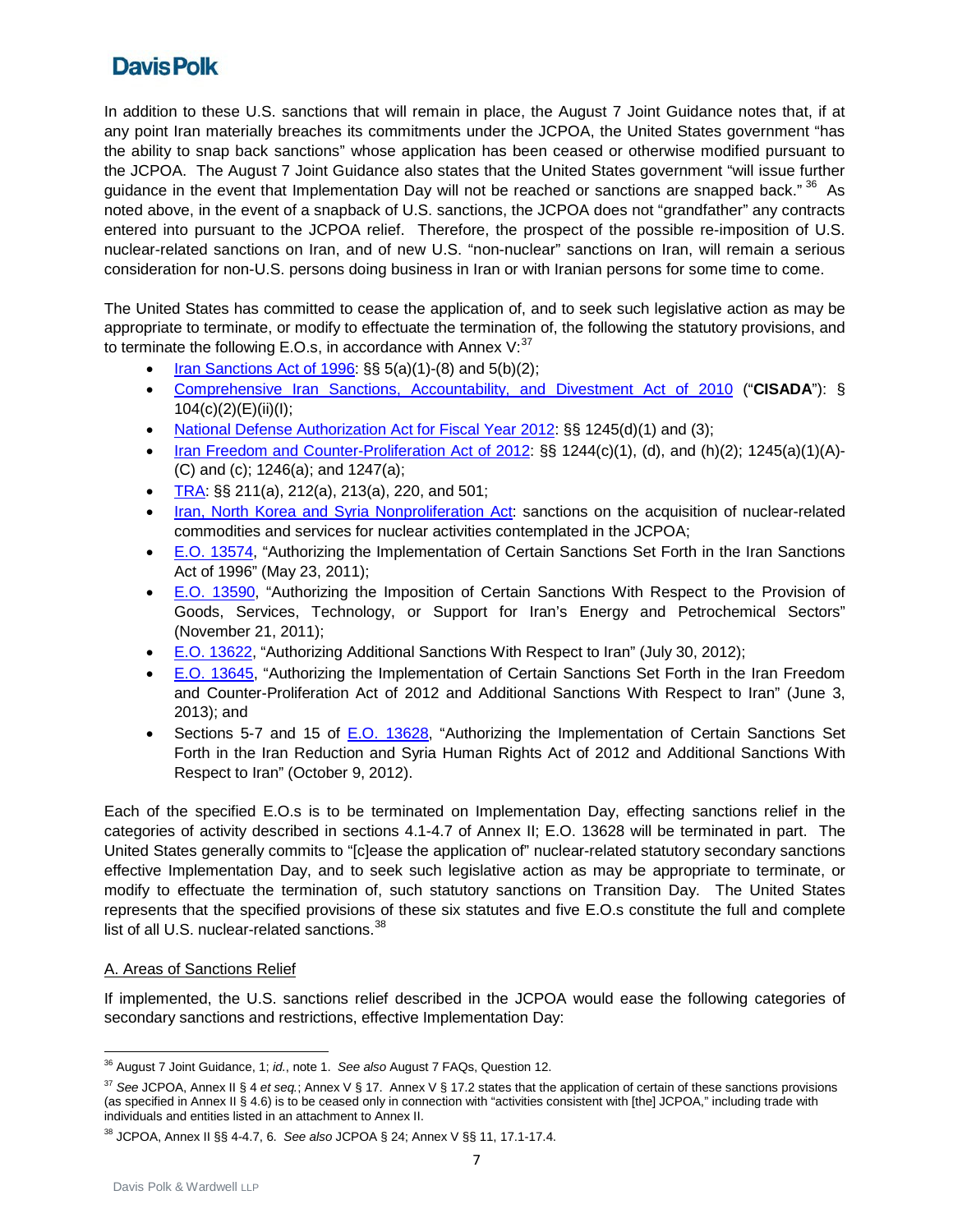In addition to these U.S. sanctions that will remain in place, the August 7 Joint Guidance notes that, if at any point Iran materially breaches its commitments under the JCPOA, the United States government "has the ability to snap back sanctions" whose application has been ceased or otherwise modified pursuant to the JCPOA. The August 7 Joint Guidance also states that the United States government "will issue further guidance in the event that Implementation Day will not be reached or sanctions are snapped back." <sup>[36](#page-6-0)</sup> As noted above, in the event of a snapback of U.S. sanctions, the JCPOA does not "grandfather" any contracts entered into pursuant to the JCPOA relief. Therefore, the prospect of the possible re-imposition of U.S. nuclear-related sanctions on Iran, and of new U.S. "non-nuclear" sanctions on Iran, will remain a serious consideration for non-U.S. persons doing business in Iran or with Iranian persons for some time to come.

The United States has committed to cease the application of, and to seek such legislative action as may be appropriate to terminate, or modify to effectuate the termination of, the following the statutory provisions, and to terminate the following E.O.s, in accordance with Annex V: $37$ 

- [Iran Sanctions Act of 1996:](http://www.treasury.gov/resource-center/sanctions/Programs/Documents/isa_1996.pdf) §§ 5(a)(1)-(8) and 5(b)(2);
- [Comprehensive Iran Sanctions, Accountability, and Divestment Act of 2010](http://www.treasury.gov/resource-center/sanctions/Documents/hr2194.pdf) ("**CISADA**"): § 104(c)(2)(E)(ii)(I);
- [National Defense Authorization Act for Fiscal Year 2012:](http://www.treasury.gov/resource-center/sanctions/Programs/Documents/ndaa_publaw.pdf) §§ 1245(d)(1) and (3);
- [Iran Freedom and Counter-Proliferation Act of 2012:](http://www.treasury.gov/resource-center/sanctions/Programs/Documents/pl112_239.pdf) §§ 1244(c)(1), (d), and (h)(2); 1245(a)(1)(A)-(C) and (c); 1246(a); and 1247(a);
- [TRA:](http://www.treasury.gov/resource-center/sanctions/Documents/hr_1905_pl_112_158.pdf) §§ 211(a), 212(a), 213(a), 220, and 501;
- Iran, North Korea and [Syria Nonproliferation Act:](http://www.gpo.gov/fdsys/pkg/BILLS-106hr1883enr/pdf/BILLS-106hr1883enr.pdf) sanctions on the acquisition of nuclear-related commodities and services for nuclear activities contemplated in the JCPOA;
- [E.O. 13574,](http://www.treasury.gov/resource-center/sanctions/Programs/Documents/2011_isa_eo.pdf) "Authorizing the Implementation of Certain Sanctions Set Forth in the Iran Sanctions Act of 1996" (May 23, 2011);
- [E.O. 13590,](http://www.gpo.gov/fdsys/pkg/FR-2011-11-23/pdf/2011-30463.pdf) "Authorizing the Imposition of Certain Sanctions With Respect to the Provision of Goods, Services, Technology, or Support for Iran's Energy and Petrochemical Sectors" (November 21, 2011);
- [E.O. 13622,](http://www.treasury.gov/resource-center/sanctions/Programs/Documents/13622.pdf) "Authorizing Additional Sanctions With Respect to Iran" (July 30, 2012);
- [E.O. 13645,](http://www.treasury.gov/resource-center/sanctions/Programs/Documents/13645.pdf) "Authorizing the Implementation of Certain Sanctions Set Forth in the Iran Freedom and Counter-Proliferation Act of 2012 and Additional Sanctions With Respect to Iran" (June 3, 2013); and
- Sections 5-7 and 15 of [E.O. 13628,](http://www.treasury.gov/resource-center/sanctions/Programs/Documents/2012iranthreat_eo.pdf) "Authorizing the Implementation of Certain Sanctions Set Forth in the Iran Reduction and Syria Human Rights Act of 2012 and Additional Sanctions With Respect to Iran" (October 9, 2012).

Each of the specified E.O.s is to be terminated on Implementation Day, effecting sanctions relief in the categories of activity described in sections 4.1-4.7 of Annex II; E.O. 13628 will be terminated in part. The United States generally commits to "[c]ease the application of" nuclear-related statutory secondary sanctions effective Implementation Day, and to seek such legislative action as may be appropriate to terminate, or modify to effectuate the termination of, such statutory sanctions on Transition Day. The United States represents that the specified provisions of these six statutes and five E.O.s constitute the full and complete list of all U.S. nuclear-related sanctions.<sup>[38](#page-6-2)</sup>

#### A. Areas of Sanctions Relief

If implemented, the U.S. sanctions relief described in the JCPOA would ease the following categories of secondary sanctions and restrictions, effective Implementation Day:

<span id="page-6-0"></span> $\overline{a}$ <sup>36</sup> August 7 Joint Guidance, 1; *id.*, note 1. *See also* August 7 FAQs, Question 12.

<span id="page-6-1"></span><sup>37</sup> *See* JCPOA, Annex II § 4 *et seq.*; Annex V § 17. Annex V § 17.2 states that the application of certain of these sanctions provisions (as specified in Annex II § 4.6) is to be ceased only in connection with "activities consistent with [the] JCPOA," including trade with individuals and entities listed in an attachment to Annex II.

<span id="page-6-2"></span><sup>38</sup> JCPOA, Annex II §§ 4-4.7, 6. *See also* JCPOA § 24; Annex V §§ 11, 17.1-17.4.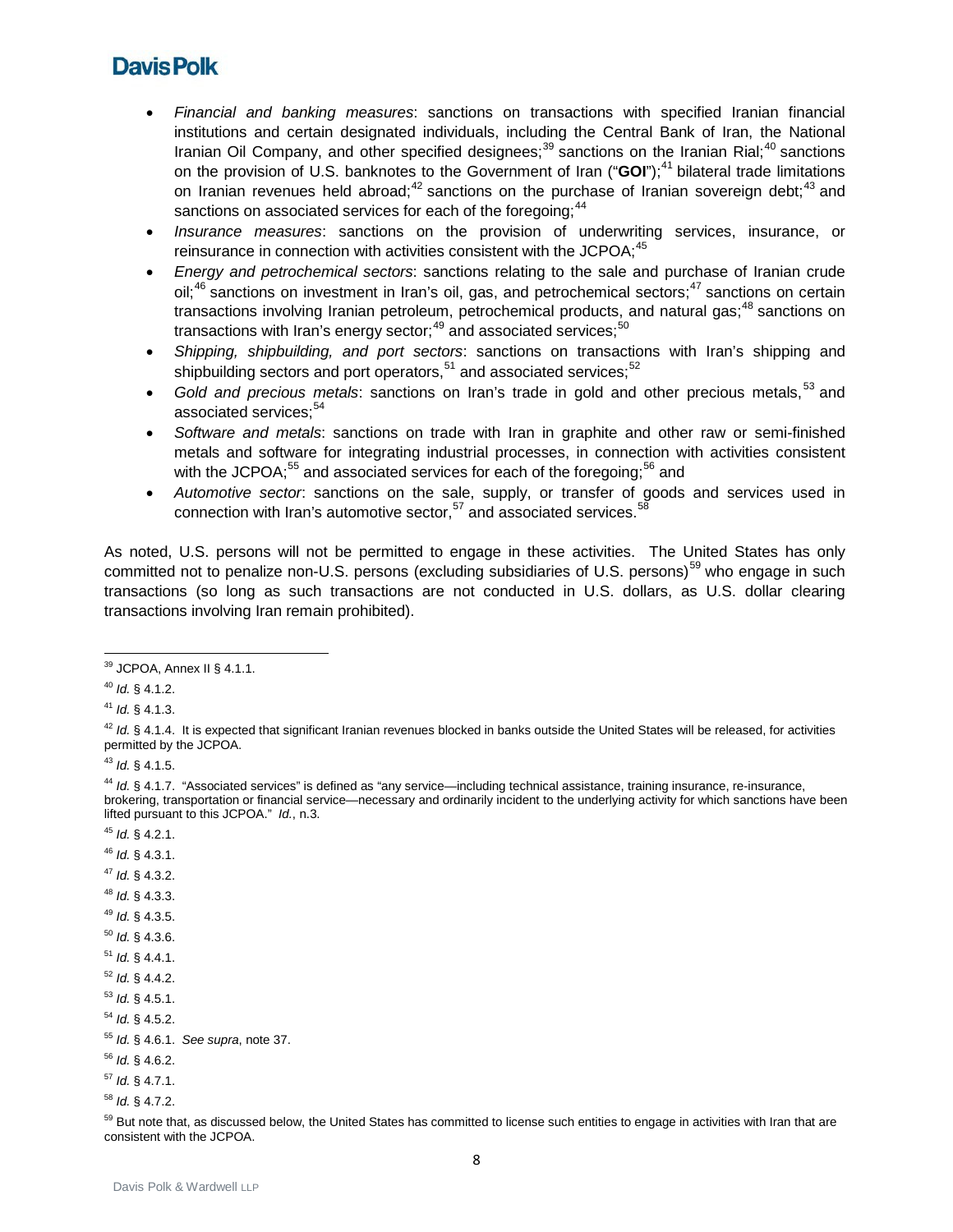- *Financial and banking measures*: sanctions on transactions with specified Iranian financial institutions and certain designated individuals, including the Central Bank of Iran, the National Iranian Oil Company, and other specified designees;  $39$  sanctions on the Iranian Rial;  $40$  sanctions on the provision of U.S. banknotes to the Government of Iran ("GOI");<sup>[41](#page-7-2)</sup> bilateral trade limitations on Iranian revenues held abroad;<sup>[42](#page-7-3)</sup> sanctions on the purchase of Iranian sovereign debt;<sup>[43](#page-7-4)</sup> and sanctions on associated services for each of the foregoing; $^{44}$  $^{44}$  $^{44}$
- *Insurance measures*: sanctions on the provision of underwriting services, insurance, or reinsurance in connection with activities consistent with the JCPOA;  $45$
- *Energy and petrochemical sectors*: sanctions relating to the sale and purchase of Iranian crude oil;<sup>[46](#page-7-7)</sup> sanctions on investment in Iran's oil, gas, and petrochemical sectors;<sup>[47](#page-7-8)</sup> sanctions on certain transactions involving Iranian petroleum, petrochemical products, and natural gas;<sup>[48](#page-7-9)</sup> sanctions on transactions with Iran's energy sector;<sup>[49](#page-7-10)</sup> and associated services;<sup>[50](#page-7-11)</sup>
- *Shipping, shipbuilding, and port sectors*: sanctions on transactions with Iran's shipping and shipbuilding sectors and port operators,  $51$  and associated services;  $52$
- *Gold and precious metals*: sanctions on Iran's trade in gold and other precious metals, [53](#page-7-14) and associated services; [54](#page-7-15)
- *Software and metals*: sanctions on trade with Iran in graphite and other raw or semi-finished metals and software for integrating industrial processes, in connection with activities consistent with the JCPOA;<sup>[55](#page-7-16)</sup> and associated services for each of the foregoing;<sup>[56](#page-7-17)</sup> and
- *Automotive sector*: sanctions on the sale, supply, or transfer of goods and services used in connection with Iran's automotive sector,<sup>[57](#page-7-18)</sup> and associated services.<sup>[58](#page-7-19)</sup>

As noted, U.S. persons will not be permitted to engage in these activities. The United States has only committed not to penalize non-U.S. persons (excluding subsidiaries of U.S. persons)<sup>[59](#page-7-20)</sup> who engage in such transactions (so long as such transactions are not conducted in U.S. dollars, as U.S. dollar clearing transactions involving Iran remain prohibited).

<span id="page-7-4"></span><sup>43</sup> *Id.* § 4.1.5.

- <span id="page-7-6"></span><sup>45</sup> *Id.* § 4.2.1.
- <span id="page-7-7"></span><sup>46</sup> *Id.* § 4.3.1.
- <span id="page-7-8"></span><sup>47</sup> *Id.* § 4.3.2.
- <span id="page-7-9"></span><sup>48</sup> *Id.* § 4.3.3.
- <span id="page-7-10"></span><sup>49</sup> *Id.* § 4.3.5.
- <span id="page-7-11"></span><sup>50</sup> *Id.* § 4.3.6.
- <span id="page-7-12"></span><sup>51</sup> *Id.* § 4.4.1.
- <span id="page-7-13"></span><sup>52</sup> *Id.* § 4.4.2.
- <span id="page-7-14"></span><sup>53</sup> *Id.* § 4.5.1.
- <span id="page-7-15"></span><sup>54</sup> *Id.* § 4.5.2.
- <span id="page-7-16"></span><sup>55</sup> *Id.* § 4.6.1. *See supra*, note 37.

<span id="page-7-18"></span><sup>57</sup> *Id.* § 4.7.1.

<span id="page-7-0"></span>**<sup>.</sup>**  $39$  JCPOA, Annex II § 4.1.1.

<span id="page-7-1"></span><sup>40</sup> *Id.* § 4.1.2.

<span id="page-7-2"></span><sup>41</sup> *Id.* § 4.1.3.

<span id="page-7-3"></span> $42$  *Id.* § 4.1.4. It is expected that significant Iranian revenues blocked in banks outside the United States will be released, for activities permitted by the JCPOA.

<span id="page-7-5"></span><sup>44</sup> *Id.* § 4.1.7. "Associated services" is defined as "any service—including technical assistance, training insurance, re-insurance, brokering, transportation or financial service—necessary and ordinarily incident to the underlying activity for which sanctions have been lifted pursuant to this JCPOA." *Id.*, n.3.

<span id="page-7-17"></span><sup>56</sup> *Id.* § 4.6.2.

<span id="page-7-19"></span><sup>58</sup> *Id.* § 4.7.2.

<span id="page-7-20"></span><sup>&</sup>lt;sup>59</sup> But note that, as discussed below, the United States has committed to license such entities to engage in activities with Iran that are consistent with the JCPOA.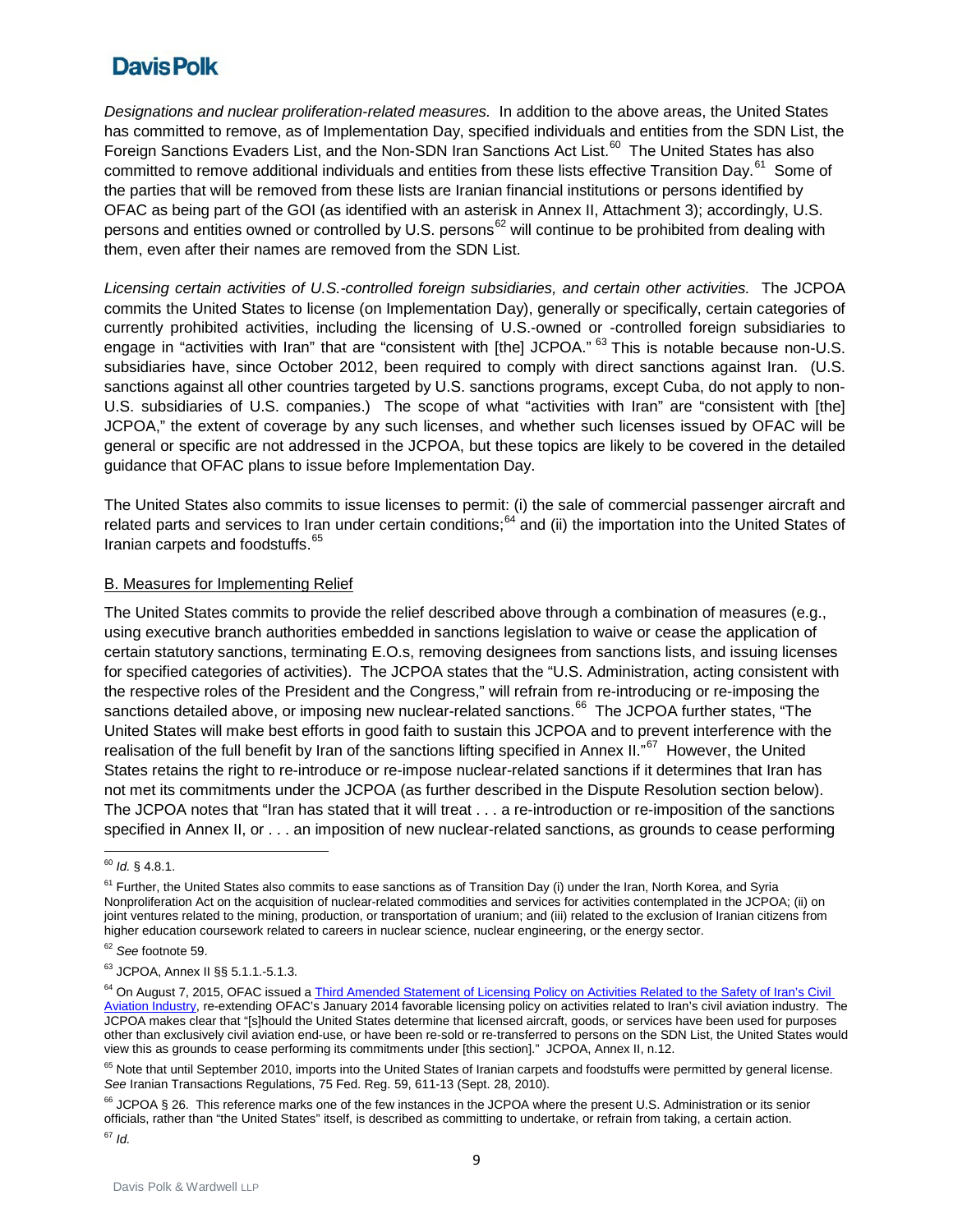*Designations and nuclear proliferation-related measures.* In addition to the above areas, the United States has committed to remove, as of Implementation Day, specified individuals and entities from the SDN List, the Foreign Sanctions Evaders List, and the Non-SDN Iran Sanctions Act List.<sup>[60](#page-8-0)</sup> The United States has also committed to remove additional individuals and entities from these lists effective Transition Day.<sup>[61](#page-8-1)</sup> Some of the parties that will be removed from these lists are Iranian financial institutions or persons identified by OFAC as being part of the GOI (as identified with an asterisk in Annex II, Attachment 3); accordingly, U.S. persons and entities owned or controlled by U.S. persons<sup>[62](#page-8-2)</sup> will continue to be prohibited from dealing with them, even after their names are removed from the SDN List.

*Licensing certain activities of U.S.-controlled foreign subsidiaries, and certain other activities.* The JCPOA commits the United States to license (on Implementation Day), generally or specifically, certain categories of currently prohibited activities, including the licensing of U.S.-owned or -controlled foreign subsidiaries to engage in "activities with Iran" that are "consistent with [the] JCPOA." <sup>[63](#page-8-3)</sup> This is notable because non-U.S. subsidiaries have, since October 2012, been required to comply with direct sanctions against Iran. (U.S. sanctions against all other countries targeted by U.S. sanctions programs, except Cuba, do not apply to non-U.S. subsidiaries of U.S. companies.) The scope of what "activities with Iran" are "consistent with [the] JCPOA," the extent of coverage by any such licenses, and whether such licenses issued by OFAC will be general or specific are not addressed in the JCPOA, but these topics are likely to be covered in the detailed guidance that OFAC plans to issue before Implementation Day.

The United States also commits to issue licenses to permit: (i) the sale of commercial passenger aircraft and related parts and services to Iran under certain conditions;<sup>[64](#page-8-4)</sup> and (ii) the importation into the United States of Iranian carpets and foodstuffs.<sup>65</sup>

#### B. Measures for Implementing Relief

The United States commits to provide the relief described above through a combination of measures (e.g., using executive branch authorities embedded in sanctions legislation to waive or cease the application of certain statutory sanctions, terminating E.O.s, removing designees from sanctions lists, and issuing licenses for specified categories of activities). The JCPOA states that the "U.S. Administration, acting consistent with the respective roles of the President and the Congress," will refrain from re-introducing or re-imposing the sanctions detailed above, or imposing new nuclear-related sanctions.<sup>[66](#page-8-6)</sup> The JCPOA further states, "The United States will make best efforts in good faith to sustain this JCPOA and to prevent interference with the realisation of the full benefit by Iran of the sanctions lifting specified in Annex II."<sup>67</sup> However, the United States retains the right to re-introduce or re-impose nuclear-related sanctions if it determines that Iran has not met its commitments under the JCPOA (as further described in the Dispute Resolution section below). The JCPOA notes that "Iran has stated that it will treat . . . a re-introduction or re-imposition of the sanctions specified in Annex II, or . . . an imposition of new nuclear-related sanctions, as grounds to cease performing

 $\overline{a}$ <sup>60</sup> *Id.* § 4.8.1.

<span id="page-8-1"></span><span id="page-8-0"></span> $61$  Further, the United States also commits to ease sanctions as of Transition Day (i) under the Iran, North Korea, and Syria Nonproliferation Act on the acquisition of nuclear-related commodities and services for activities contemplated in the JCPOA; (ii) on joint ventures related to the mining, production, or transportation of uranium; and (iii) related to the exclusion of Iranian citizens from higher education coursework related to careers in nuclear science, nuclear engineering, or the energy sector.

<span id="page-8-2"></span><sup>62</sup> *See* footnote 59.

<span id="page-8-3"></span><sup>63</sup> JCPOA, Annex II §§ 5.1.1.-5.1.3.

<span id="page-8-4"></span><sup>&</sup>lt;sup>64</sup> On August 7, 2015, OFAC issued a *Third Amended Statement of Licensing Policy on Activities Related to the Safety of Iran's Civil* [Aviation Industry,](http://www.treasury.gov/resource-center/sanctions/Programs/Documents/3rd_amended_jpoa_lic.pdf) re-extending OFAC's January 2014 favorable licensing policy on activities related to Iran's civil aviation industry. The JCPOA makes clear that "[s]hould the United States determine that licensed aircraft, goods, or services have been used for purposes other than exclusively civil aviation end-use, or have been re-sold or re-transferred to persons on the SDN List, the United States would view this as grounds to cease performing its commitments under [this section]." JCPOA, Annex II, n.12.

<span id="page-8-5"></span><sup>&</sup>lt;sup>65</sup> Note that until September 2010, imports into the United States of Iranian carpets and foodstuffs were permitted by general license. *See* Iranian Transactions Regulations, 75 Fed. Reg. 59, 611-13 (Sept. 28, 2010).

<span id="page-8-7"></span><span id="page-8-6"></span><sup>&</sup>lt;sup>66</sup> JCPOA § 26. This reference marks one of the few instances in the JCPOA where the present U.S. Administration or its senior officials, rather than "the United States" itself, is described as committing to undertake, or refrain from taking, a certain action. <sup>67</sup> *Id.*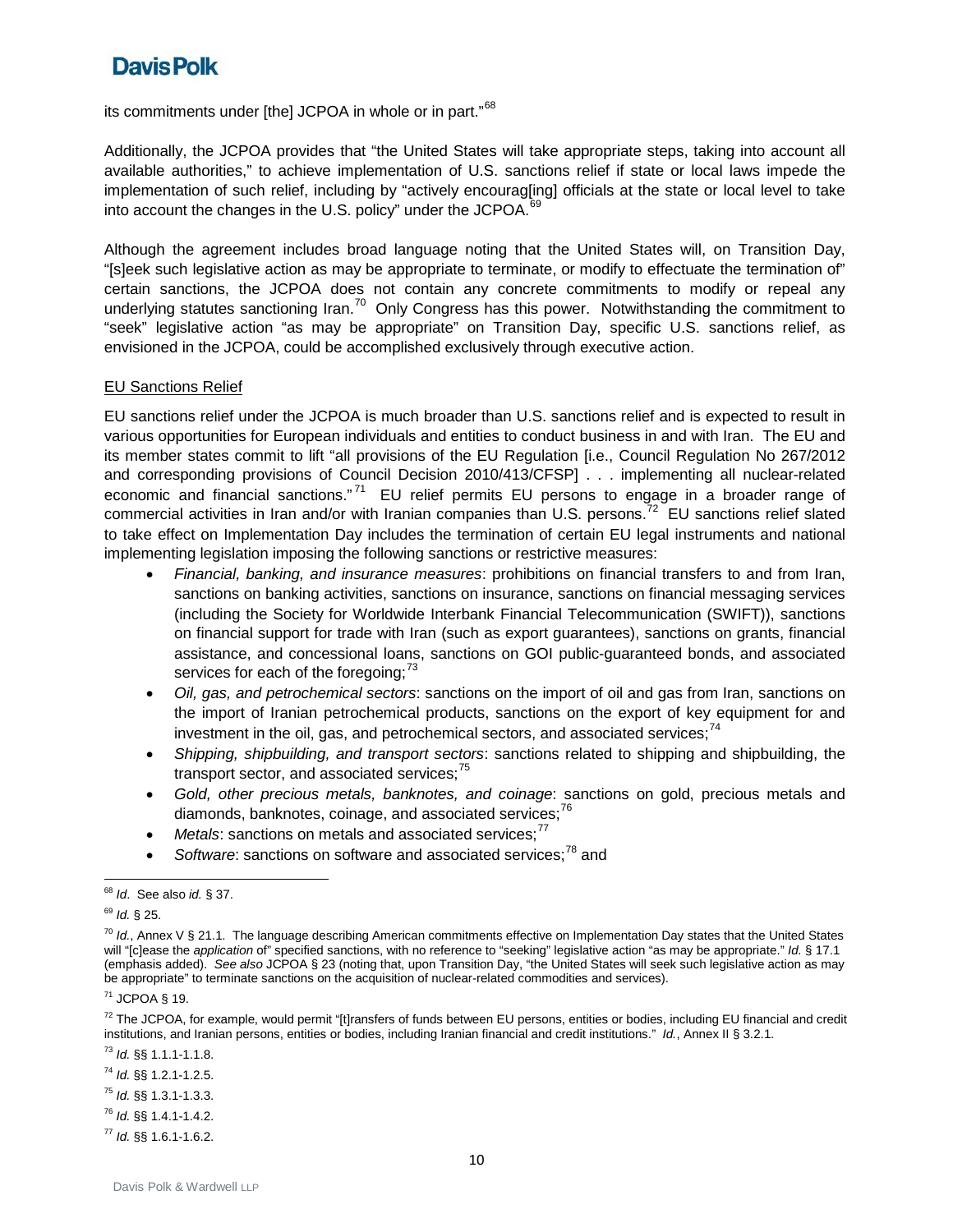its commitments under [the] JCPOA in whole or in part."<sup>[68](#page-9-0)</sup>

Additionally, the JCPOA provides that "the United States will take appropriate steps, taking into account all available authorities," to achieve implementation of U.S. sanctions relief if state or local laws impede the implementation of such relief, including by "actively encourag[ing] officials at the state or local level to take into account the changes in the U.S. policy" under the JCPOA.<sup>[69](#page-9-1)</sup>

Although the agreement includes broad language noting that the United States will, on Transition Day, "[s]eek such legislative action as may be appropriate to terminate, or modify to effectuate the termination of" certain sanctions, the JCPOA does not contain any concrete commitments to modify or repeal any underlying statutes sanctioning Iran.<sup>[70](#page-9-2)</sup> Only Congress has this power. Notwithstanding the commitment to "seek" legislative action "as may be appropriate" on Transition Day, specific U.S. sanctions relief, as envisioned in the JCPOA, could be accomplished exclusively through executive action.

#### EU Sanctions Relief

EU sanctions relief under the JCPOA is much broader than U.S. sanctions relief and is expected to result in various opportunities for European individuals and entities to conduct business in and with Iran. The EU and its member states commit to lift "all provisions of the EU Regulation [i.e., Council Regulation No 267/2012 and corresponding provisions of Council Decision 2010/413/CFSP] . . . implementing all nuclear-related economic and financial sanctions."<sup>[71](#page-9-3)</sup> EU relief permits EU persons to engage in a broader range of commercial activities in Iran and/or with Iranian companies than U.S. persons.<sup>[72](#page-9-4)</sup> EU sanctions relief slated to take effect on Implementation Day includes the termination of certain EU legal instruments and national implementing legislation imposing the following sanctions or restrictive measures:

- *Financial, banking, and insurance measures*: prohibitions on financial transfers to and from Iran, sanctions on banking activities, sanctions on insurance, sanctions on financial messaging services (including the Society for Worldwide Interbank Financial Telecommunication (SWIFT)), sanctions on financial support for trade with Iran (such as export guarantees), sanctions on grants, financial assistance, and concessional loans, sanctions on GOI public-guaranteed bonds, and associated services for each of the foregoing;<sup>[73](#page-9-5)</sup>
- *Oil, gas, and petrochemical sectors*: sanctions on the import of oil and gas from Iran, sanctions on the import of Iranian petrochemical products, sanctions on the export of key equipment for and investment in the oil, gas, and petrochemical sectors, and associated services; $<sup>4</sup>$ </sup>
- <span id="page-9-10"></span>• *Shipping, shipbuilding, and transport sectors*: sanctions related to shipping and shipbuilding, the transport sector, and associated services; $75$
- *Gold, other precious metals, banknotes, and coinage*: sanctions on gold, precious metals and diamonds, banknotes, coinage, and associated services;<sup>[76](#page-9-8)</sup>
- *Metals*: sanctions on metals and associated services:<sup>[77](#page-9-9)</sup>
- Software: sanctions on software and associated services;<sup>[78](#page-9-10)</sup> and

- <span id="page-9-6"></span><sup>74</sup> *Id.* §§ 1.2.1-1.2.5.
- <span id="page-9-7"></span><sup>75</sup> *Id.* §§ 1.3.1-1.3.3.
- <span id="page-9-8"></span><sup>76</sup> *Id.* §§ 1.4.1-1.4.2.

<span id="page-9-9"></span><sup>77</sup> *Id.* §§ 1.6.1-1.6.2.

<span id="page-9-0"></span><sup>68</sup> *Id*. See also *id.* § 37.

<span id="page-9-1"></span><sup>69</sup> *Id.* § 25.

<span id="page-9-2"></span><sup>&</sup>lt;sup>70</sup> Id., Annex V § 21.1. The language describing American commitments effective on Implementation Day states that the United States will "[c]ease the *application* of" specified sanctions, with no reference to "seeking" legislative action "as may be appropriate." *Id.* § 17.1 (emphasis added). *See also* JCPOA § 23 (noting that, upon Transition Day, "the United States will seek such legislative action as may be appropriate" to terminate sanctions on the acquisition of nuclear-related commodities and services).

<span id="page-9-3"></span><sup>71</sup> JCPOA § 19.

<span id="page-9-4"></span><sup>&</sup>lt;sup>72</sup> The JCPOA, for example, would permit "[t]ransfers of funds between EU persons, entities or bodies, including EU financial and credit institutions, and Iranian persons, entities or bodies, including Iranian financial and credit institutions." *Id.*, Annex II § 3.2.1.

<span id="page-9-5"></span><sup>73</sup> *Id.* §§ 1.1.1-1.1.8.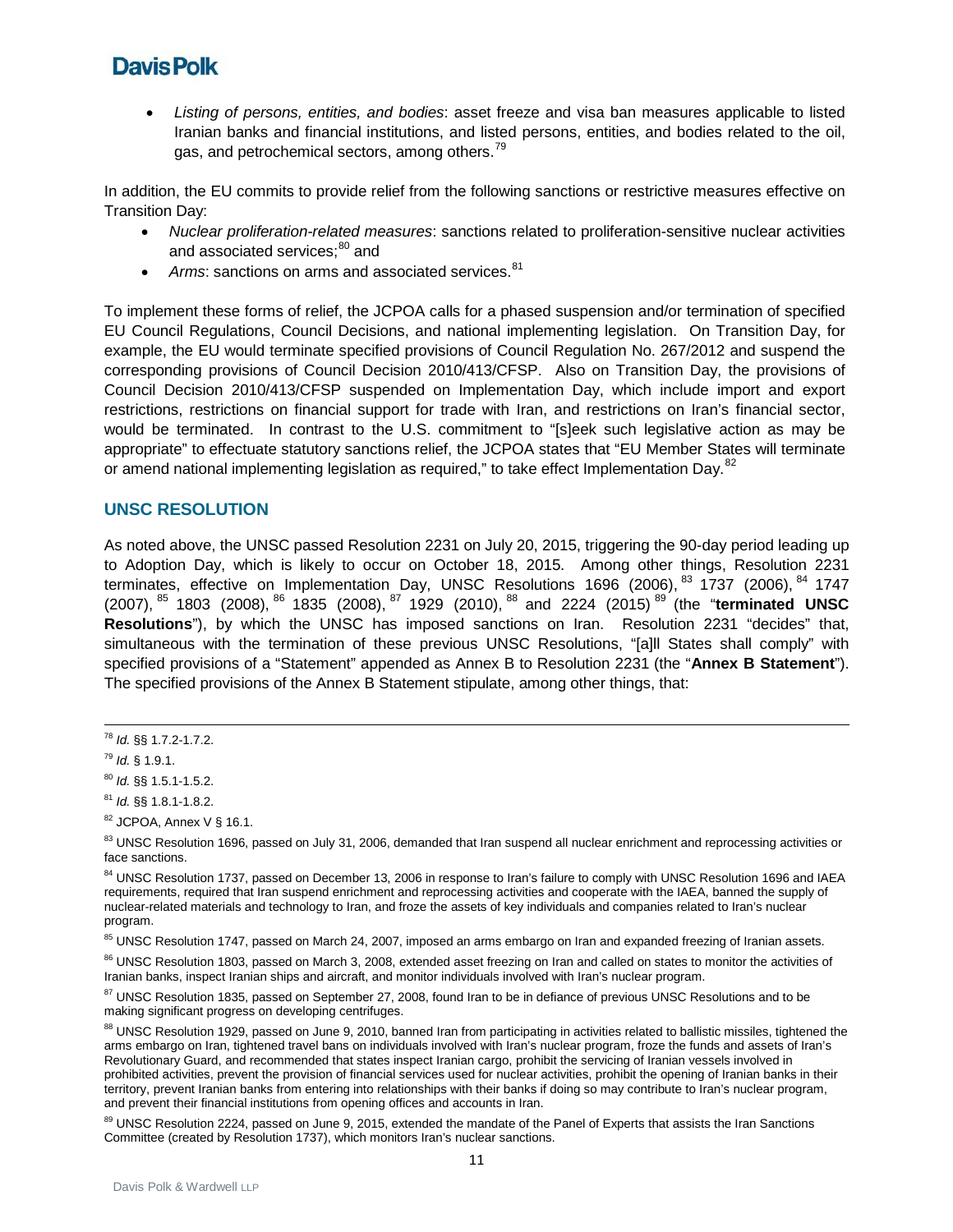• *Listing of persons, entities, and bodies*: asset freeze and visa ban measures applicable to listed Iranian banks and financial institutions, and listed persons, entities, and bodies related to the oil, gas, and petrochemical sectors, among others.<sup>[79](#page-10-0)</sup>

In addition, the EU commits to provide relief from the following sanctions or restrictive measures effective on Transition Day:

- *Nuclear proliferation-related measures*: sanctions related to proliferation-sensitive nuclear activities and associated services:<sup>[80](#page-10-1)</sup> and
- Arms: sanctions on arms and associated services.<sup>[81](#page-10-2)</sup>

To implement these forms of relief, the JCPOA calls for a phased suspension and/or termination of specified EU Council Regulations, Council Decisions, and national implementing legislation. On Transition Day, for example, the EU would terminate specified provisions of Council Regulation No. 267/2012 and suspend the corresponding provisions of Council Decision 2010/413/CFSP. Also on Transition Day, the provisions of Council Decision 2010/413/CFSP suspended on Implementation Day, which include import and export restrictions, restrictions on financial support for trade with Iran, and restrictions on Iran's financial sector, would be terminated. In contrast to the U.S. commitment to "[s]eek such legislative action as may be appropriate" to effectuate statutory sanctions relief, the JCPOA states that "EU Member States will terminate or amend national implementing legislation as required," to take effect Implementation Day.<sup>[82](#page-10-3)</sup>

#### **UNSC RESOLUTION**

As noted above, the UNSC passed Resolution 2231 on July 20, 2015, triggering the 90-day period leading up to Adoption Day, which is likely to occur on October 18, 2015. Among other things, Resolution 2231 terminates, effective on Implementation Day, UNSC Resolutions 1696 (2006), <sup>[83](#page-10-4)</sup> 1737 (2006), <sup>[84](#page-10-5)</sup> 1747 (2007), [85](#page-10-6) 1803 (2008), [86](#page-10-7) 1835 (2008), [87](#page-10-8) 1929 (2010), [88](#page-10-9) and 2224 (2015) [89](#page-10-10) (the "**terminated UNSC Resolutions**"), by which the UNSC has imposed sanctions on Iran. Resolution 2231 "decides" that, simultaneous with the termination of these previous UNSC Resolutions, "[a]ll States shall comply" with specified provisions of a "Statement" appended as Annex B to Resolution 2231 (the "**Annex B Statement**"). The specified provisions of the Annex B Statement stipulate, among other things, that:

<span id="page-10-6"></span>85 UNSC Resolution 1747, passed on March 24, 2007, imposed an arms embargo on Iran and expanded freezing of Iranian assets.

<span id="page-10-7"></span><sup>86</sup> UNSC Resolution 1803, passed on March 3, 2008, extended asset freezing on Iran and called on states to monitor the activities of Iranian banks, inspect Iranian ships and aircraft, and monitor individuals involved with Iran's nuclear program.

<span id="page-10-8"></span><sup>87</sup> UNSC Resolution 1835, passed on September 27, 2008, found Iran to be in defiance of previous UNSC Resolutions and to be making significant progress on developing centrifuges.

<span id="page-10-9"></span>88 UNSC Resolution 1929, passed on June 9, 2010, banned Iran from participating in activities related to ballistic missiles, tightened the arms embargo on Iran, tightened travel bans on individuals involved with Iran's nuclear program, froze the funds and assets of Iran's Revolutionary Guard, and recommended that states inspect Iranian cargo, prohibit the servicing of Iranian vessels involved in prohibited activities, prevent the provision of financial services used for nuclear activities, prohibit the opening of Iranian banks in their territory, prevent Iranian banks from entering into relationships with their banks if doing so may contribute to Iran's nuclear program, and prevent their financial institutions from opening offices and accounts in Iran.

<span id="page-10-10"></span>89 UNSC Resolution 2224, passed on June 9, 2015, extended the mandate of the Panel of Experts that assists the Iran Sanctions Committee (created by Resolution 1737), which monitors Iran's nuclear sanctions.

<sup>78</sup> *Id.* §§ 1.7.2-1.7.2.

<span id="page-10-0"></span><sup>79</sup> *Id.* § 1.9.1.

<span id="page-10-1"></span><sup>80</sup> *Id.* §§ 1.5.1-1.5.2.

<span id="page-10-2"></span><sup>81</sup> *Id.* §§ 1.8.1-1.8.2.

<span id="page-10-3"></span> $82$  JCPOA, Annex V § 16.1.

<span id="page-10-4"></span><sup>83</sup> UNSC Resolution 1696, passed on July 31, 2006, demanded that Iran suspend all nuclear enrichment and reprocessing activities or face sanctions.

<span id="page-10-5"></span><sup>84</sup> UNSC Resolution 1737, passed on December 13, 2006 in response to Iran's failure to comply with UNSC Resolution 1696 and IAEA requirements, required that Iran suspend enrichment and reprocessing activities and cooperate with the IAEA, banned the supply of nuclear-related materials and technology to Iran, and froze the assets of key individuals and companies related to Iran's nuclear program.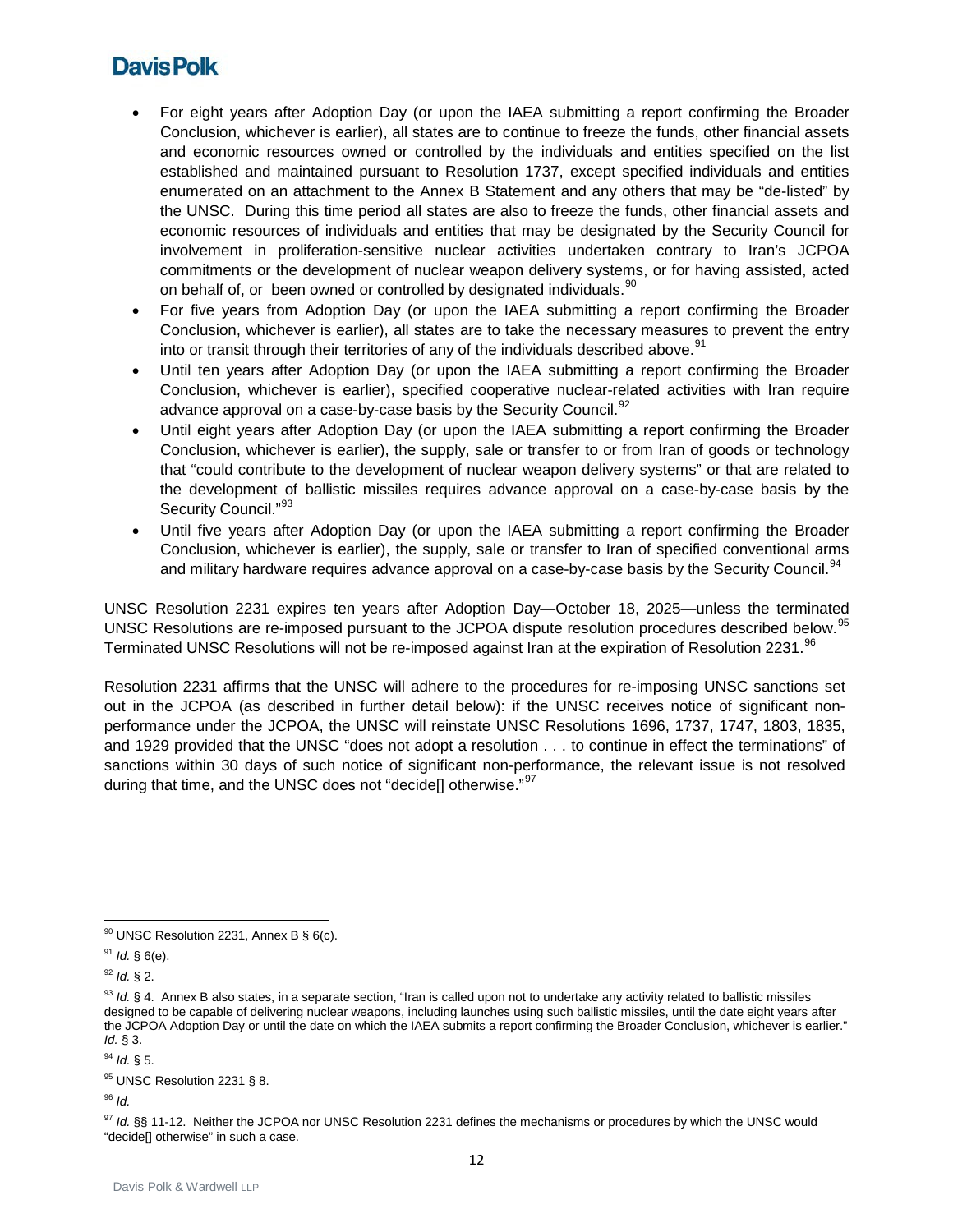- For eight years after Adoption Day (or upon the IAEA submitting a report confirming the Broader Conclusion, whichever is earlier), all states are to continue to freeze the funds, other financial assets and economic resources owned or controlled by the individuals and entities specified on the list established and maintained pursuant to Resolution 1737, except specified individuals and entities enumerated on an attachment to the Annex B Statement and any others that may be "de-listed" by the UNSC. During this time period all states are also to freeze the funds, other financial assets and economic resources of individuals and entities that may be designated by the Security Council for involvement in proliferation-sensitive nuclear activities undertaken contrary to Iran's JCPOA commitments or the development of nuclear weapon delivery systems, or for having assisted, acted on behalf of, or been owned or controlled by designated individuals. <sup>[90](#page-11-0)</sup>
- For five years from Adoption Day (or upon the IAEA submitting a report confirming the Broader Conclusion, whichever is earlier), all states are to take the necessary measures to prevent the entry into or transit through their territories of any of the individuals described above. $91$
- Until ten years after Adoption Day (or upon the IAEA submitting a report confirming the Broader Conclusion, whichever is earlier), specified cooperative nuclear-related activities with Iran require advance approval on a case-by-case basis by the Security Council.<sup>[92](#page-11-2)</sup>
- Until eight years after Adoption Day (or upon the IAEA submitting a report confirming the Broader Conclusion, whichever is earlier), the supply, sale or transfer to or from Iran of goods or technology that "could contribute to the development of nuclear weapon delivery systems" or that are related to the development of ballistic missiles requires advance approval on a case-by-case basis by the Security Council."<sup>[93](#page-11-3)</sup>
- Until five years after Adoption Day (or upon the IAEA submitting a report confirming the Broader Conclusion, whichever is earlier), the supply, sale or transfer to Iran of specified conventional arms and military hardware requires advance approval on a case-by-case basis by the Security Council.<sup>[94](#page-11-4)</sup>

UNSC Resolution 2231 expires ten years after Adoption Day—October 18, 2025—unless the terminated UNSC Resolutions are re-imposed pursuant to the JCPOA dispute resolution procedures described below.<sup>95</sup> Terminated UNSC Resolutions will not be re-imposed against Iran at the expiration of Resolution 2231.<sup>[96](#page-11-6)</sup>

Resolution 2231 affirms that the UNSC will adhere to the procedures for re-imposing UNSC sanctions set out in the JCPOA (as described in further detail below): if the UNSC receives notice of significant nonperformance under the JCPOA, the UNSC will reinstate UNSC Resolutions 1696, 1737, 1747, 1803, 1835, and 1929 provided that the UNSC "does not adopt a resolution . . . to continue in effect the terminations" of sanctions within 30 days of such notice of significant non-performance, the relevant issue is not resolved during that time, and the UNSC does not "decide<sup>[]</sup> otherwise."<sup>[97](#page-11-7)</sup>

<span id="page-11-2"></span><sup>92</sup> *Id.* § 2.

12

<span id="page-11-0"></span> $90$  UNSC Resolution 2231, Annex B § 6(c).

<span id="page-11-1"></span><sup>91</sup> *Id.* § 6(e).

<span id="page-11-3"></span><sup>93</sup> *Id.* § 4. Annex B also states, in a separate section, "Iran is called upon not to undertake any activity related to ballistic missiles designed to be capable of delivering nuclear weapons, including launches using such ballistic missiles, until the date eight years after the JCPOA Adoption Day or until the date on which the IAEA submits a report confirming the Broader Conclusion, whichever is earlier." *Id.* § 3.

<span id="page-11-4"></span><sup>94</sup> *Id.* § 5.

<span id="page-11-5"></span><sup>95</sup> UNSC Resolution 2231 § 8.

<span id="page-11-6"></span><sup>96</sup> *Id.*

<span id="page-11-7"></span><sup>&</sup>lt;sup>97</sup> Id. §§ 11-12. Neither the JCPOA nor UNSC Resolution 2231 defines the mechanisms or procedures by which the UNSC would "decide[] otherwise" in such a case.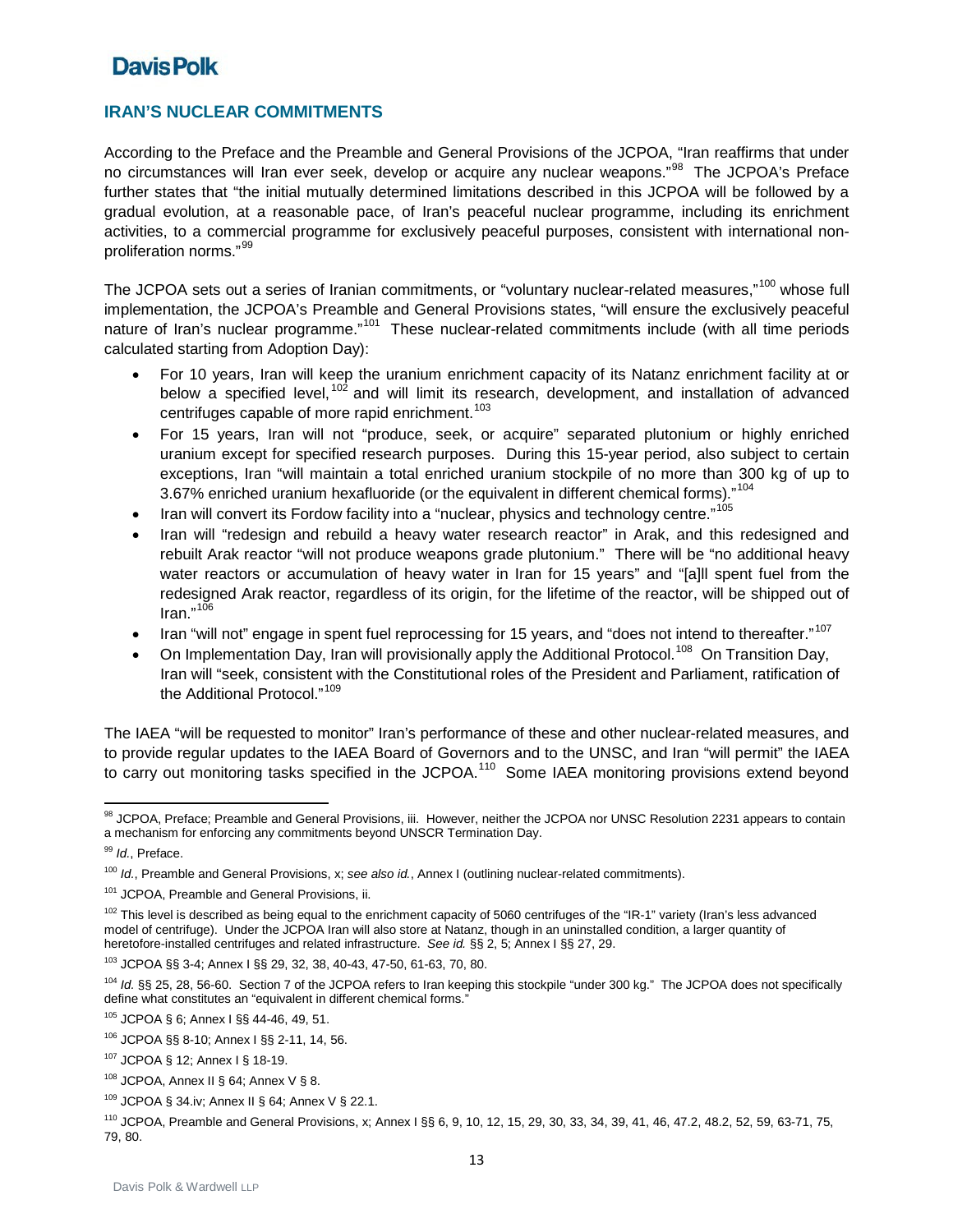### **IRAN'S NUCLEAR COMMITMENTS**

According to the Preface and the Preamble and General Provisions of the JCPOA, "Iran reaffirms that under no circumstances will Iran ever seek, develop or acquire any nuclear weapons."<sup>[98](#page-12-0)</sup> The JCPOA's Preface further states that "the initial mutually determined limitations described in this JCPOA will be followed by a gradual evolution, at a reasonable pace, of Iran's peaceful nuclear programme, including its enrichment activities, to a commercial programme for exclusively peaceful purposes, consistent with international nonproliferation norms."[99](#page-12-1)

The JCPOA sets out a series of Iranian commitments, or "voluntary nuclear-related measures,"<sup>[100](#page-12-2)</sup> whose full implementation, the JCPOA's Preamble and General Provisions states, "will ensure the exclusively peaceful nature of Iran's nuclear programme."<sup>[101](#page-12-3)</sup> These nuclear-related commitments include (with all time periods calculated starting from Adoption Day):

- For 10 years, Iran will keep the uranium enrichment capacity of its Natanz enrichment facility at or below a specified level, <sup>[102](#page-12-4)</sup> and will limit its research, development, and installation of advanced centrifuges capable of more rapid enrichment. [103](#page-12-5)
- For 15 years, Iran will not "produce, seek, or acquire" separated plutonium or highly enriched uranium except for specified research purposes. During this 15-year period, also subject to certain exceptions, Iran "will maintain a total enriched uranium stockpile of no more than 300 kg of up to 3.67% enriched uranium hexafluoride (or the equivalent in different chemical forms)."<sup>[104](#page-12-6)</sup>
- Iran will convert its Fordow facility into a "nuclear, physics and technology centre."<sup>[105](#page-12-7)</sup>
- Iran will "redesign and rebuild a heavy water research reactor" in Arak, and this redesigned and rebuilt Arak reactor "will not produce weapons grade plutonium." There will be "no additional heavy water reactors or accumulation of heavy water in Iran for 15 years" and "[a]ll spent fuel from the redesigned Arak reactor, regardless of its origin, for the lifetime of the reactor, will be shipped out of Iran." [106](#page-12-8)
- Iran "will not" engage in spent fuel reprocessing for 15 years, and "does not intend to thereafter."<sup>[107](#page-12-9)</sup>
- On Implementation Day, Iran will provisionally apply the Additional Protocol.<sup>[108](#page-12-10)</sup> On Transition Day, Iran will "seek, consistent with the Constitutional roles of the President and Parliament, ratification of the Additional Protocol."<sup>[109](#page-12-11)</sup>

The IAEA "will be requested to monitor" Iran's performance of these and other nuclear-related measures, and to provide regular updates to the IAEA Board of Governors and to the UNSC, and Iran "will permit" the IAEA to carry out monitoring tasks specified in the JCPOA.<sup>[110](#page-12-12)</sup> Some IAEA monitoring provisions extend beyond

<span id="page-12-0"></span>**<sup>.</sup>** 98 JCPOA, Preface; Preamble and General Provisions, iii. However, neither the JCPOA nor UNSC Resolution 2231 appears to contain a mechanism for enforcing any commitments beyond UNSCR Termination Day.

<span id="page-12-1"></span><sup>99</sup> *Id.*, Preface.

<span id="page-12-2"></span><sup>100</sup> *Id.*, Preamble and General Provisions, x; *see also id.*, Annex I (outlining nuclear-related commitments).

<span id="page-12-3"></span><sup>101</sup> JCPOA, Preamble and General Provisions, ii.

<span id="page-12-4"></span><sup>102</sup> This level is described as being equal to the enrichment capacity of 5060 centrifuges of the "IR-1" variety (Iran's less advanced model of centrifuge). Under the JCPOA Iran will also store at Natanz, though in an uninstalled condition, a larger quantity of heretofore-installed centrifuges and related infrastructure. *See id.* §§ 2, 5; Annex I §§ 27, 29.

<span id="page-12-5"></span><sup>103</sup> JCPOA §§ 3-4; Annex I §§ 29, 32, 38, 40-43, 47-50, 61-63, 70, 80.

<span id="page-12-6"></span><sup>104</sup> *Id.* §§ 25, 28, 56-60. Section 7 of the JCPOA refers to Iran keeping this stockpile "under 300 kg." The JCPOA does not specifically define what constitutes an "equivalent in different chemical forms."

<span id="page-12-7"></span><sup>105</sup> JCPOA § 6; Annex I §§ 44-46, 49, 51.

<span id="page-12-8"></span><sup>106</sup> JCPOA §§ 8-10; Annex I §§ 2-11, 14, 56.

<span id="page-12-9"></span><sup>107</sup> JCPOA § 12; Annex I § 18-19.

<span id="page-12-10"></span> $108$  JCPOA, Annex II § 64; Annex V § 8.

<span id="page-12-11"></span><sup>109</sup> JCPOA § 34.iv; Annex II § 64; Annex V § 22.1.

<span id="page-12-12"></span><sup>110</sup> JCPOA, Preamble and General Provisions, x; Annex I §§ 6, 9, 10, 12, 15, 29, 30, 33, 34, 39, 41, 46, 47.2, 48.2, 52, 59, 63-71, 75, 79, 80.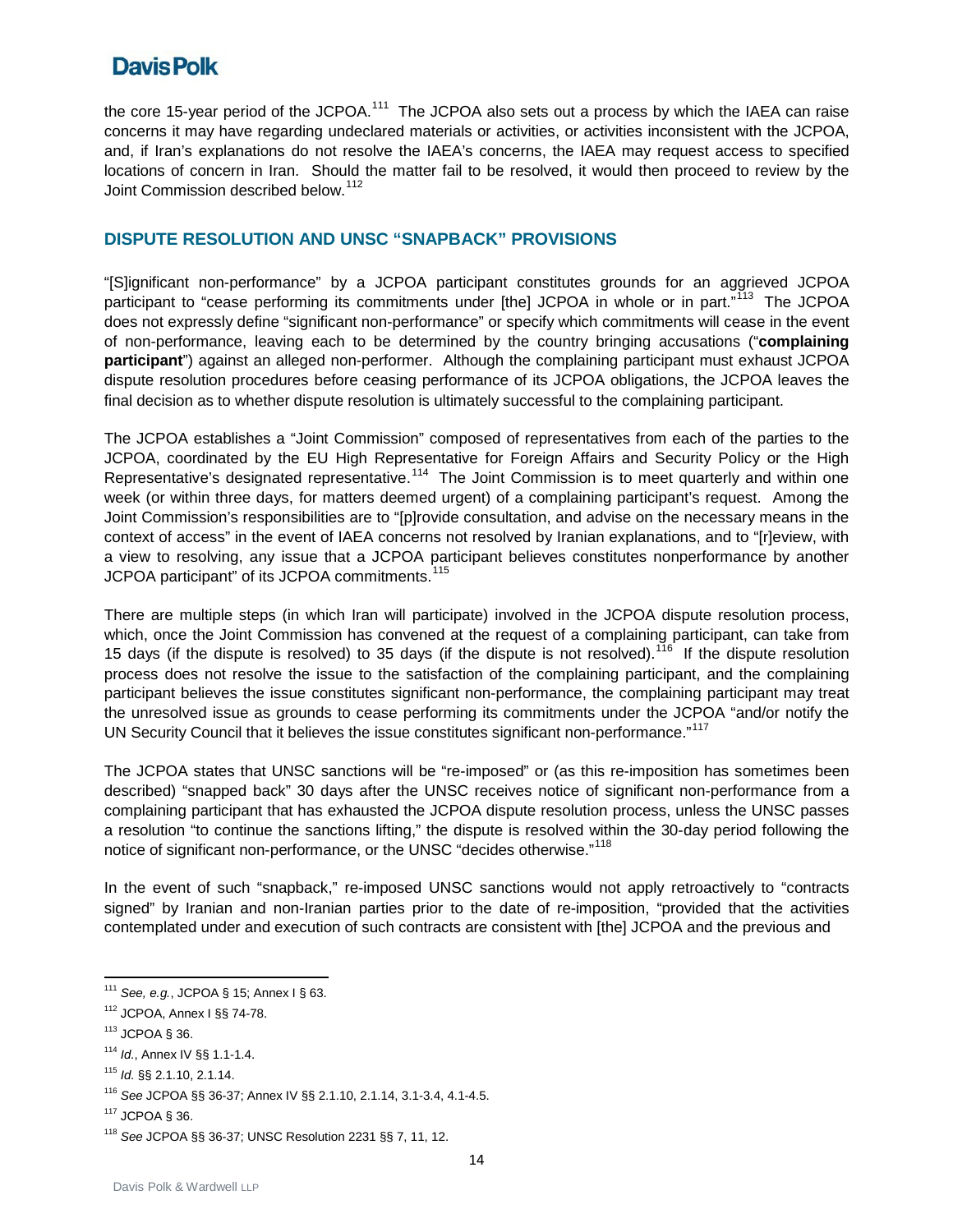the core 15-year period of the JCPOA.<sup>111</sup> The JCPOA also sets out a process by which the IAEA can raise concerns it may have regarding undeclared materials or activities, or activities inconsistent with the JCPOA, and, if Iran's explanations do not resolve the IAEA's concerns, the IAEA may request access to specified locations of concern in Iran. Should the matter fail to be resolved, it would then proceed to review by the Joint Commission described below.<sup>[112](#page-13-1)</sup>

### **DISPUTE RESOLUTION AND UNSC "SNAPBACK" PROVISIONS**

"[S]ignificant non-performance" by a JCPOA participant constitutes grounds for an aggrieved JCPOA participant to "cease performing its commitments under [the] JCPOA in whole or in part."<sup>[113](#page-13-2)</sup> The JCPOA does not expressly define "significant non-performance" or specify which commitments will cease in the event of non-performance, leaving each to be determined by the country bringing accusations ("**complaining participant**") against an alleged non-performer. Although the complaining participant must exhaust JCPOA dispute resolution procedures before ceasing performance of its JCPOA obligations, the JCPOA leaves the final decision as to whether dispute resolution is ultimately successful to the complaining participant.

The JCPOA establishes a "Joint Commission" composed of representatives from each of the parties to the JCPOA, coordinated by the EU High Representative for Foreign Affairs and Security Policy or the High Representative's designated representative.<sup>114</sup> The Joint Commission is to meet quarterly and within one week (or within three days, for matters deemed urgent) of a complaining participant's request. Among the Joint Commission's responsibilities are to "[p]rovide consultation, and advise on the necessary means in the context of access" in the event of IAEA concerns not resolved by Iranian explanations, and to "[r]eview, with a view to resolving, any issue that a JCPOA participant believes constitutes nonperformance by another JCPOA participant" of its JCPOA commitments.<sup>[115](#page-13-4)</sup>

There are multiple steps (in which Iran will participate) involved in the JCPOA dispute resolution process, which, once the Joint Commission has convened at the request of a complaining participant, can take from 15 days (if the dispute is resolved) to 35 days (if the dispute is not resolved).<sup>[116](#page-13-5)</sup> If the dispute resolution process does not resolve the issue to the satisfaction of the complaining participant, and the complaining participant believes the issue constitutes significant non-performance, the complaining participant may treat the unresolved issue as grounds to cease performing its commitments under the JCPOA "and/or notify the UN Security Council that it believes the issue constitutes significant non-performance."<sup>[117](#page-13-6)</sup>

The JCPOA states that UNSC sanctions will be "re-imposed" or (as this re-imposition has sometimes been described) "snapped back" 30 days after the UNSC receives notice of significant non-performance from a complaining participant that has exhausted the JCPOA dispute resolution process, unless the UNSC passes a resolution "to continue the sanctions lifting," the dispute is resolved within the 30-day period following the notice of significant non-performance, or the UNSC "decides otherwise."<sup>[118](#page-13-7)</sup>

In the event of such "snapback," re-imposed UNSC sanctions would not apply retroactively to "contracts signed" by Iranian and non-Iranian parties prior to the date of re-imposition, "provided that the activities contemplated under and execution of such contracts are consistent with [the] JCPOA and the previous and

<span id="page-13-2"></span><sup>113</sup> JCPOA § 36.

 $\overline{a}$ 

<span id="page-13-0"></span><sup>111</sup> *See, e.g.*, JCPOA § 15; Annex I § 63.

<span id="page-13-1"></span><sup>112</sup> JCPOA, Annex I §§ 74-78.

<span id="page-13-3"></span><sup>114</sup> *Id.*, Annex IV §§ 1.1-1.4.

<span id="page-13-4"></span><sup>115</sup> *Id.* §§ 2.1.10, 2.1.14.

<span id="page-13-5"></span><sup>116</sup> *See* JCPOA §§ 36-37; Annex IV §§ 2.1.10, 2.1.14, 3.1-3.4, 4.1-4.5.

<span id="page-13-6"></span> $117$  JCPOA  $$36$ .

<span id="page-13-7"></span><sup>118</sup> *See* JCPOA §§ 36-37; UNSC Resolution 2231 §§ 7, 11, 12.